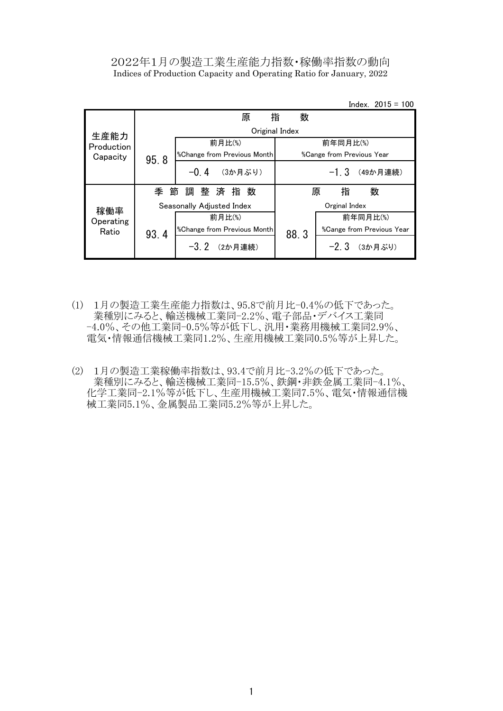### 2022年1月の製造工業生産能力指数・稼働率指数の動向 Indices of Production Capacity and Operating Ratio for January, 2022

Index. 2015 = 100

|            |      | 原                                         | 指<br>数         |                                         |
|------------|------|-------------------------------------------|----------------|-----------------------------------------|
| 生産能力       |      |                                           | Original Index |                                         |
| Production |      | 前月比(%)                                    |                | 前年同月比(%)                                |
| Capacity   | 95.8 | <i><b>%Change from Previous Month</b></i> |                | <i><b>%Cange from Previous Year</b></i> |
|            |      | $-0.4$<br>(3か月ぶり)                         |                | $-1.3$<br>(49か月連続)                      |
|            | 季 節  | 調整済指数                                     |                | 数<br>指<br>原                             |
| 稼働率        |      | Seasonally Adjusted Index                 |                | Orginal Index                           |
| Operating  |      | 前月比(%)                                    |                | 前年同月比(%)                                |
| Ratio      | 93.4 | <i><b>%Change from Previous Month</b></i> | 88.3           | %Cange from Previous Year               |
|            |      | $-3.2$<br>(2か月連続)                         |                | $-2.3$<br>(3か月ぶり)                       |

- (1) 1月の製造工業生産能力指数は、95.8で前月比-0.4%の低下であった。 業種別にみると、輸送機械工業同-2.2%、電子部品・デバイス工業同 -4.0%、その他工業同-0.5%等が低下し、汎用・業務用機械工業同2.9%、 電気・情報通信機械工業同1.2%、生産用機械工業同0.5%等が上昇した。
- (2) 1月の製造工業稼働率指数は、93.4で前月比-3.2%の低下であった。 業種別にみると、輸送機械工業同-15.5%、鉄鋼・非鉄金属工業同-4.1%、 化学工業同-2.1%等が低下し、生産用機械工業同7.5%、電気・情報通信機 械工業同5.1%、金属製品工業同5.2%等が上昇した。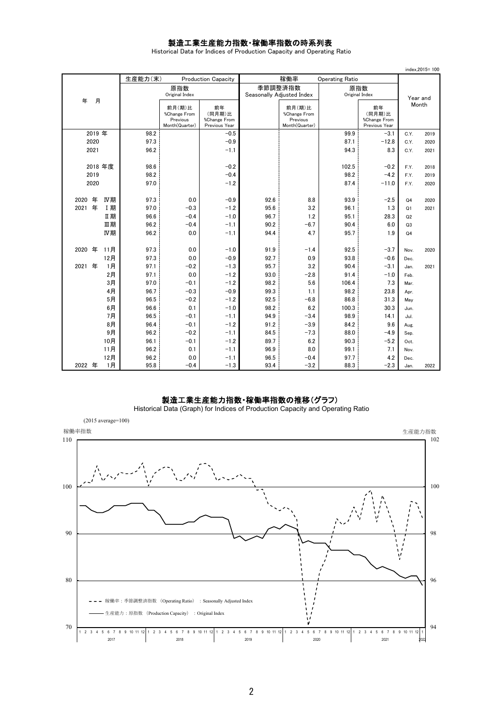#### 製造工業生産能力指数・稼働率指数の時系列表

Historical Data for Indices of Production Capacity and Operating Ratio

|                        |              |                                                      |                                               |                           |                                                      |                        |                                               |                | index, 2015=100 |
|------------------------|--------------|------------------------------------------------------|-----------------------------------------------|---------------------------|------------------------------------------------------|------------------------|-----------------------------------------------|----------------|-----------------|
|                        | 生産能力(末)      |                                                      | <b>Production Capacity</b>                    |                           | 稼働率                                                  | <b>Operating Ratio</b> |                                               |                |                 |
|                        |              | 原指数                                                  |                                               | 季節調整済指数                   |                                                      | 原指数                    |                                               |                |                 |
| 月<br>年                 |              | Original Index                                       |                                               | Seasonally Adjusted Index |                                                      | Original Index         |                                               |                | Year and        |
|                        |              | 前月(期)比<br>%Change From<br>Previous<br>Month(Quarter) | 前年<br>(同月期)比<br>%Change From<br>Previous Year |                           | 前月(期)比<br>%Change From<br>Previous<br>Month(Quarter) |                        | 前年<br>(同月期)比<br>%Change From<br>Previous Year |                | Month           |
| 2019 年                 | 98.2         |                                                      | $-0.5$                                        |                           |                                                      | 99.9                   | $-3.1$                                        | C.Y.           | 2019            |
| 2020                   | 97.3         |                                                      | $-0.9$                                        |                           |                                                      | 87.1                   | $-12.8$                                       | C.Y.           | 2020            |
| 2021                   | 96.2         |                                                      | $-1.1$                                        |                           |                                                      | 94.3                   | 8.3                                           | C.Y.           | 2021            |
|                        |              |                                                      |                                               |                           |                                                      |                        |                                               |                |                 |
| 2018年度                 | 98.6         |                                                      | $-0.2$                                        |                           |                                                      | 102.5                  | $-0.2$                                        | F.Y.           | 2018            |
| 2019                   | 98.2         |                                                      | $-0.4$                                        |                           |                                                      | 98.2                   | $-4.2$                                        | F.Y.           | 2019            |
| 2020                   | 97.0         |                                                      | $-1.2$                                        |                           |                                                      | 87.4                   | $-11.0$                                       | F.Y.           | 2020            |
|                        |              |                                                      |                                               |                           |                                                      |                        |                                               |                |                 |
| 年<br>IV期<br>2020       | 97.3         | 0.0                                                  | $-0.9$                                        | 92.6                      | 8.8                                                  | 93.9                   | $-2.5$                                        | Q <sub>4</sub> | 2020            |
| 年<br>2021<br>I期        | 97.0         | $-0.3$                                               | $-1.2$                                        | 95.6                      | 3.2                                                  | 96.1                   | 1.3                                           | Q1             | 2021            |
| Ⅱ期                     | 96.6         | $-0.4$                                               | $-1.0$                                        | 96.7                      | 1.2                                                  | 95.1                   | 28.3                                          | Q2             |                 |
| 皿期                     | 96.2         | $-0.4$                                               | $-1.1$                                        | 90.2                      | $-6.7$                                               | 90.4                   | 6.0                                           | Q3             |                 |
| IV期                    | 96.2         | 0.0                                                  | $-1.1$                                        | 94.4                      | 4.7                                                  | 95.7                   | 1.9                                           | Q <sub>4</sub> |                 |
|                        |              |                                                      |                                               |                           |                                                      |                        |                                               |                |                 |
| 年<br>11月<br>2020       | 97.3         | 0.0                                                  | $-1.0$                                        | 91.9                      | $-1.4$                                               | 92.5                   | $-3.7$<br>$-0.6$                              | Nov.           | 2020            |
| 12月<br>年<br>1月<br>2021 | 97.3<br>97.1 | 0.0                                                  | $-0.9$<br>$-1.3$                              | 92.7<br>95.7              | 0.9<br>3.2                                           | 93.8<br>90.4           | $-3.1$                                        | Dec.           |                 |
| 2月                     | 97.1         | $-0.2$<br>0.0                                        | $-1.2$                                        | 93.0                      | $-2.8$                                               | 91.4                   | $-1.0$                                        | Jan.           | 2021            |
| 3月                     | 97.0         | $-0.1$                                               | $-1.2$                                        | 98.2                      | 5.6                                                  | 106.4                  | 7.3                                           | Feb.<br>Mar.   |                 |
| 4月                     | 96.7         | $-0.3$                                               | $-0.9$                                        | 99.3                      | 1.1                                                  | 98.2                   | 23.8                                          | Apr.           |                 |
| 5月                     | 96.5         | $-0.2$                                               | $-1.2$                                        | 92.5                      | $-6.8$                                               | 86.8                   | 31.3                                          | May            |                 |
| 6月                     | 96.6         | 0.1                                                  | $-1.0$                                        | 98.2                      | 6.2                                                  | 100.3                  | 30.3                                          | Jun.           |                 |
| 7月                     | 96.5         | $-0.1$                                               | $-1.1$                                        | 94.9                      | $-3.4$                                               | 98.9                   | 14.1                                          | Jul.           |                 |
| 8月                     | 96.4         | $-0.1$                                               | $-1.2$                                        | 91.2                      | $-3.9$                                               | 84.2                   | 9.6                                           | Aug.           |                 |
| 9月                     | 96.2         | $-0.2$                                               | $-1.1$                                        | 84.5                      | $-7.3$                                               | 88.0                   | $-4.9$                                        | Sep.           |                 |
| 10月                    | 96.1         | $-0.1$                                               | $-1.2$                                        | 89.7                      | 6.2                                                  | 90.3                   | $-5.2$                                        | Oct.           |                 |
| 11月                    | 96.2         | 0.1                                                  | $-1.1$                                        | 96.9                      | 8.0                                                  | 99.1                   | 7.1                                           | Nov.           |                 |
| 12月                    | 96.2         | 0.0                                                  | $-1.1$                                        | 96.5                      | $-0.4$                                               | 97.7                   | 4.2                                           | Dec.           |                 |
| 1月<br>2022 年           | 95.8         | $-0.4$                                               | $-1.3$                                        | 93.4                      | $-3.2$                                               | 88.3                   | $-2.3$                                        | Jan.           | 2022            |

#### 製造工業生産能力指数・稼働率指数の推移(グラフ)

Historical Data (Graph) for Indices of Production Capacity and Operating Ratio

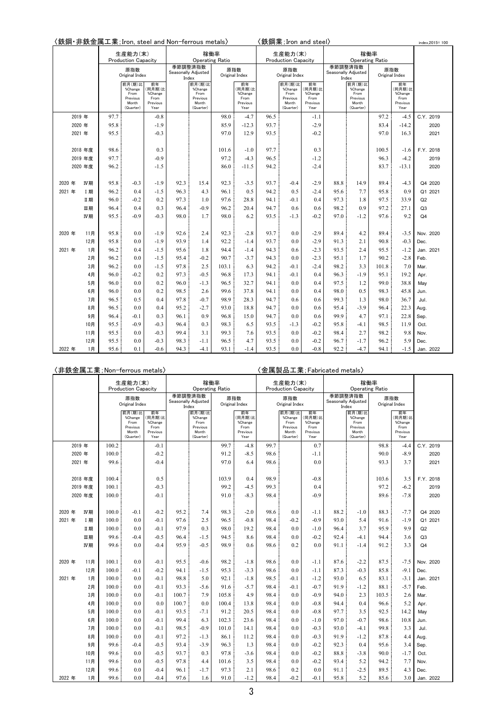〈鉄鋼・非鉄金属工業;Iron, steel and Non-ferrous metals〉 〈鉄鋼業;Iron and steel〉

| index.2015=100 |  |
|----------------|--|
|                |  |

|        |         |      | 生産能力(末)<br><b>Production Capacity</b>                       |                                                     |                  | 稼働率<br><b>Operating Ratio</b>                               |       |                                                     |      | 生産能力(末)<br><b>Production Capacity</b>                       |                                                     |                                         | 稼働率<br><b>Operating Ratio</b>                               |       |                                                     |                |
|--------|---------|------|-------------------------------------------------------------|-----------------------------------------------------|------------------|-------------------------------------------------------------|-------|-----------------------------------------------------|------|-------------------------------------------------------------|-----------------------------------------------------|-----------------------------------------|-------------------------------------------------------------|-------|-----------------------------------------------------|----------------|
|        |         |      | 原指数<br>Original Index                                       |                                                     | 季節調整済指数<br>Index | Seasonally Adjusted                                         |       | 原指数<br>Original Index                               |      | 原指数<br>Original Index                                       |                                                     | 季節調整済指数<br>Seasonally Adjusted<br>Index |                                                             |       | 原指数<br>Original Index                               |                |
|        |         |      | 前月(期)比<br>%Change<br>From<br>Previous<br>Month<br>(Quarter) | 前年<br>(同月期)比<br>%Change<br>From<br>Previous<br>Year |                  | 前月(期)比<br>%Change<br>From<br>Previous<br>Month<br>(Quarter) |       | 前年<br>(同月期)比<br>%Change<br>From<br>Previous<br>Year |      | 前月(期)比<br>%Change<br>From<br>Previous<br>Month<br>(Quarter) | 前年<br>(同月期)比<br>%Change<br>From<br>Previous<br>Year |                                         | 前月(期)比<br>%Change<br>From<br>Previous<br>Month<br>(Quarter) |       | 前年<br>(同月期)比<br>%Change<br>From<br>Previous<br>Year |                |
|        | 2019 年  | 97.7 |                                                             | $-0.8$                                              |                  |                                                             | 98.0  | $-4.7$                                              | 96.5 |                                                             | $-1.1$                                              |                                         |                                                             | 97.2  | $-4.5$                                              | C.Y. 2019      |
|        | 2020 年  | 95.8 |                                                             | $-1.9$                                              |                  |                                                             | 85.9  | $-12.3$                                             | 93.7 |                                                             | $-2.9$                                              |                                         |                                                             | 83.4  | $-14.2$                                             | 2020           |
|        | 2021 年  | 95.5 |                                                             | $-0.3$                                              |                  |                                                             | 97.0  | 12.9                                                | 93.5 |                                                             | $-0.2$                                              |                                         |                                                             | 97.0  | 16.3                                                | 2021           |
|        |         |      |                                                             |                                                     |                  |                                                             |       |                                                     |      |                                                             |                                                     |                                         |                                                             |       |                                                     |                |
|        | 2018 年度 | 98.6 |                                                             | 0.3                                                 |                  |                                                             | 101.6 | $-1.0$                                              | 97.7 |                                                             | 0.3                                                 |                                         |                                                             | 100.5 | $-1.6$                                              | F.Y. 2018      |
|        | 2019 年度 | 97.7 |                                                             | $-0.9$                                              |                  |                                                             | 97.2  | $-4.3$                                              | 96.5 |                                                             | $-1.2$                                              |                                         |                                                             | 96.3  | $-4.2$                                              | 2019           |
|        | 2020 年度 | 96.2 |                                                             | $-1.5$                                              |                  |                                                             | 86.0  | $-11.5$                                             | 94.2 |                                                             | $-2.4$                                              |                                         |                                                             | 83.7  | $-13.1$                                             | 2020           |
|        |         |      |                                                             |                                                     |                  |                                                             |       |                                                     |      |                                                             |                                                     |                                         |                                                             |       |                                                     |                |
| 2020 年 | IV期     | 95.8 | $-0.3$                                                      | $-1.9$                                              | 92.3             | 15.4                                                        | 92.3  | $-3.5$                                              | 93.7 | $-0.4$                                                      | $-2.9$                                              | 88.8                                    | 14.9                                                        | 89.4  | $-4.3$                                              | Q4 2020        |
| 2021 年 | I期      | 96.2 | 0.4                                                         | $-1.5$                                              | 96.3             | 4.3                                                         | 96.1  | 0.5                                                 | 94.2 | 0.5                                                         | $-2.4$                                              | 95.6                                    | 7.7                                                         | 95.8  | 0.9                                                 | Q1 2021        |
|        | Ⅱ期      | 96.0 | $-0.2$                                                      | 0.2                                                 | 97.3             | 1.0                                                         | 97.6  | 28.8                                                | 94.1 | $-0.1$                                                      | 0.4                                                 | 97.3                                    | 1.8                                                         | 97.5  | 33.9                                                | Q2             |
|        | Ⅲ期      | 96.4 | 0.4                                                         | 0.3                                                 | 96.4             | $-0.9$                                                      | 96.2  | 20.4                                                | 94.7 | 0.6                                                         | 0.6                                                 | 98.2                                    | 0.9                                                         | 97.2  | 27.1                                                | Q <sub>3</sub> |
|        | IV期     | 95.5 | $-0.9$                                                      | $-0.3$                                              | 98.0             | 1.7                                                         | 98.0  | 6.2                                                 | 93.5 | $-1.3$                                                      | $-0.2$                                              | 97.0                                    | $-1.2$                                                      | 97.6  | 9.2                                                 | Q4             |
|        |         |      |                                                             |                                                     |                  |                                                             |       |                                                     |      |                                                             |                                                     |                                         |                                                             |       |                                                     |                |
| 2020 年 | 11月     | 95.8 | 0.0                                                         | $-1.9$                                              | 92.6             | 2.4                                                         | 92.3  | $-2.8$                                              | 93.7 | 0.0                                                         | $-2.9$                                              | 89.4                                    | 4.2                                                         | 89.4  | $-3.5$                                              | Nov. 2020      |
|        | 12月     | 95.8 | 0.0                                                         | $-1.9$                                              | 93.9             | 1.4                                                         | 92.2  | $-1.4$                                              | 93.7 | 0.0                                                         | $-2.9$                                              | 91.3                                    | 2.1                                                         | 90.8  | $-0.3$                                              | Dec.           |
| 2021 年 | 1月      | 96.2 | 0.4                                                         | $-1.5$                                              | 95.6             | 1.8                                                         | 94.4  | $-1.4$                                              | 94.3 | 0.6                                                         | $-2.3$                                              | 93.5                                    | 2.4                                                         | 95.5  | $-1.2$                                              | Jan. 2021      |
|        | 2月      | 96.2 | 0.0                                                         | $-1.5$                                              | 95.4             | $-0.2$                                                      | 90.7  | $-3.7$                                              | 94.3 | 0.0                                                         | $-2.3$                                              | 95.1                                    | 1.7                                                         | 90.2  | $-2.8$                                              | Feb.           |
|        | 3月      | 96.2 | 0.0                                                         | $-1.5$                                              | 97.8             | 2.5                                                         | 103.1 | 6.3                                                 | 94.2 | $-0.1$                                                      | $-2.4$                                              | 98.2                                    | 3.3                                                         | 101.8 | 7.0                                                 | Mar.           |
|        | 4月      | 96.0 | $-0.2$                                                      | 0.2                                                 | 97.3             | $-0.5$                                                      | 96.8  | 17.3                                                | 94.1 | $-0.1$                                                      | 0.4                                                 | 96.3                                    | $-1.9$                                                      | 95.1  | 19.2                                                | Apr.           |
|        | 5月      | 96.0 | 0.0                                                         | 0.2                                                 | 96.0             | $-1.3$                                                      | 96.5  | 32.7                                                | 94.1 | 0.0                                                         | 0.4                                                 | 97.5                                    | 1.2                                                         | 99.0  | 38.8                                                | May            |
|        | 6月      | 96.0 | 0.0                                                         | 0.2                                                 | 98.5             | 2.6                                                         | 99.6  | 37.8                                                | 94.1 | 0.0                                                         | 0.4                                                 | 98.0                                    | 0.5                                                         | 98.3  | 45.8                                                | Jun.           |
|        | 7月      | 96.5 | 0.5                                                         | 0.4                                                 | 97.8             | $-0.7$                                                      | 98.9  | 28.3                                                | 94.7 | 0.6                                                         | 0.6                                                 | 99.3                                    | 1.3                                                         | 98.0  | 36.7                                                | Jul.           |
|        | 8月      | 96.5 | 0.0                                                         | 0.4                                                 | 95.2             | $-2.7$                                                      | 93.0  | 18.8                                                | 94.7 | 0.0                                                         | 0.6                                                 | 95.4                                    | $-3.9$                                                      | 96.4  | 22.3                                                | Aug.           |
|        | 9月      | 96.4 | $-0.1$                                                      | 0.3                                                 | 96.1             | 0.9                                                         | 96.8  | 15.0                                                | 94.7 | 0.0                                                         | 0.6                                                 | 99.9                                    | 4.7                                                         | 97.1  | 22.8                                                | Sep.           |
|        | 10月     | 95.5 | $-0.9$                                                      | $-0.3$                                              | 96.4             | 0.3                                                         | 98.3  | 6.5                                                 | 93.5 | $-1.3$                                                      | $-0.2$                                              | 95.8                                    | -4.1                                                        | 98.5  | 11.9                                                | Oct.           |
|        | 11月     | 95.5 | 0.0                                                         | $-0.3$                                              | 99.4             | 3.1                                                         | 99.3  | 7.6                                                 | 93.5 | 0.0                                                         | $-0.2$                                              | 98.4                                    | 2.7                                                         | 98.2  | 9.8                                                 | Nov.           |
|        | 12月     | 95.5 | 0.0                                                         | $-0.3$                                              | 98.3             | $-1.1$                                                      | 96.5  | 4.7                                                 | 93.5 | 0.0                                                         | $-0.2$                                              | 96.7                                    | $-1.7$                                                      | 96.2  | 5.9                                                 | Dec.           |
| 2022 年 | 1月      | 95.6 | 0.1                                                         | $-0.6$                                              | 94.3             | $-4.1$                                                      | 93.1  | $-1.4$                                              | 93.5 | 0.0                                                         | $-0.8$                                              | 92.2                                    | $-4.7$                                                      | 94.1  | $-1.5$                                              | Jan. 2022      |

## 〈非鉄金属工業;Non-ferrous metals〉 〈金属製品工業;Fabricated metals〉

|        |         |       | 生産能力(末)<br><b>Production Capacity</b>                       |                                                     |         | 稼働率<br>Operating Ratio                                      |       |                                                     |      | 生産能力(末)<br><b>Production Capacity</b>                       |                                                     |      | 稼働率                                                         | <b>Operating Ratio</b> |                                                     |                |
|--------|---------|-------|-------------------------------------------------------------|-----------------------------------------------------|---------|-------------------------------------------------------------|-------|-----------------------------------------------------|------|-------------------------------------------------------------|-----------------------------------------------------|------|-------------------------------------------------------------|------------------------|-----------------------------------------------------|----------------|
|        |         |       | 原指数<br>Original Index                                       |                                                     | 季節調整済指数 | Seasonally Adjusted<br>Index                                |       | 原指数<br>Original Index                               |      | 原指数<br>Original Index                                       |                                                     |      | 季節調整済指数<br>Seasonally Adjusted<br>Index                     |                        | 原指数<br>Original Index                               |                |
|        |         |       | 前月(期)比<br>%Change<br>From<br>Previous<br>Month<br>(Quarter) | 前年<br>(同月期)比<br>%Change<br>From<br>Previous<br>Year |         | 前月(期)比<br>%Change<br>From<br>Previous<br>Month<br>(Quarter) |       | 前年<br>(同月期)比<br>%Change<br>From<br>Previous<br>Year |      | 前月(期)比<br>%Change<br>From<br>Previous<br>Month<br>(Quarter) | 前年<br>(同月期)比<br>%Change<br>From<br>Previous<br>Year |      | 前月(期)比<br>%Change<br>From<br>Previous<br>Month<br>(Quarter) |                        | 前年<br>(同月期)比<br>%Change<br>From<br>Previous<br>Year |                |
|        | 2019 年  | 100.2 |                                                             | $-0.1$                                              |         |                                                             | 99.7  | $-4.8$                                              | 99.7 |                                                             | 0.7                                                 |      |                                                             | 98.8                   | $-4.4$                                              | C.Y. 2019      |
|        | 2020 年  | 100.0 |                                                             | $-0.2$                                              |         |                                                             | 91.2  | $-8.5$                                              | 98.6 |                                                             | $-1.1$                                              |      |                                                             | 90.0                   | $-8.9$                                              | 2020           |
|        | 2021 年  | 99.6  |                                                             | $-0.4$                                              |         |                                                             | 97.0  | 6.4                                                 | 98.6 |                                                             | 0.0                                                 |      |                                                             | 93.3                   | 3.7                                                 | 2021           |
|        |         |       |                                                             |                                                     |         |                                                             |       |                                                     |      |                                                             |                                                     |      |                                                             |                        |                                                     |                |
|        | 2018年度  | 100.4 |                                                             | 0.5                                                 |         |                                                             | 103.9 | 0.4                                                 | 98.9 |                                                             | $-0.8$                                              |      |                                                             | 103.6                  | 3.5                                                 | F.Y. 2018      |
|        | 2019 年度 | 100.1 |                                                             | $-0.3$                                              |         |                                                             | 99.2  | $-4.5$                                              | 99.3 |                                                             | 0.4                                                 |      |                                                             | 97.2                   | $-6.2$                                              | 2019           |
|        | 2020 年度 | 100.0 |                                                             | $-0.1$                                              |         |                                                             | 91.0  | $-8.3$                                              | 98.4 |                                                             | $-0.9$                                              |      |                                                             | 89.6                   | $-7.8$                                              | 2020           |
|        |         |       |                                                             |                                                     |         |                                                             |       |                                                     |      |                                                             |                                                     |      |                                                             |                        |                                                     |                |
| 2020 年 | IV期     | 100.0 | $-0.1$                                                      | $-0.2$                                              | 95.2    | 7.4                                                         | 98.3  | $-2.0$                                              | 98.6 | 0.0                                                         | $-1.1$                                              | 88.2 | $-1.0$                                                      | 88.3                   | $-7.7$                                              | Q4 2020        |
| 2021 年 | I 期     | 100.0 | 0.0                                                         | $-0.1$                                              | 97.6    | 2.5                                                         | 96.5  | $-0.8$                                              | 98.4 | $-0.2$                                                      | $-0.9$                                              | 93.0 | 5.4                                                         | 91.6                   | $-1.9$                                              | Q1 2021        |
|        | Ⅱ期      | 100.0 | 0.0                                                         | $-0.1$                                              | 97.9    | 0.3                                                         | 98.0  | 19.2                                                | 98.4 | 0.0                                                         | $-1.0$                                              | 96.4 | 3.7                                                         | 95.9                   | 9.9                                                 | Q2             |
|        | 皿期      | 99.6  | $-0.4$                                                      | $-0.5$                                              | 96.4    | $-1.5$                                                      | 94.5  | 8.6                                                 | 98.4 | 0.0                                                         | $-0.2$                                              | 92.4 | $-4.1$                                                      | 94.4                   | 3.6                                                 | Q <sub>3</sub> |
|        | IV期     | 99.6  | 0.0                                                         | $-0.4$                                              | 95.9    | $-0.5$                                                      | 98.9  | 0.6                                                 | 98.6 | 0.2                                                         | 0.0                                                 | 91.1 | $-1.4$                                                      | 91.2                   | 3.3                                                 | Q <sub>4</sub> |
|        |         |       |                                                             |                                                     |         |                                                             |       |                                                     |      |                                                             |                                                     |      |                                                             |                        |                                                     |                |
| 2020 年 | 11月     | 100.1 | 0.0                                                         | $-0.1$                                              | 95.5    | $-0.6$                                                      | 98.2  | $-1.8$                                              | 98.6 | 0.0                                                         | $-1.1$                                              | 87.6 | $-2.2$                                                      | 87.5                   | $-7.5$                                              | Nov. 2020      |
|        | 12月     | 100.0 | $-0.1$                                                      | $-0.2$                                              | 94.1    | $-1.5$                                                      | 95.3  | $-3.3$                                              | 98.6 | 0.0                                                         | $-1.1$                                              | 87.3 | $-0.3$                                                      | 85.8                   | $-9.1$                                              | Dec.           |
| 2021 年 | 1月      | 100.0 | 0.0                                                         | $-0.1$                                              | 98.8    | 5.0                                                         | 92.1  | $-1.8$                                              | 98.5 | $-0.1$                                                      | $-1.2$                                              | 93.0 | 6.5                                                         | 83.1                   | $-3.1$                                              | Jan. 2021      |
|        | 2月      | 100.0 | 0.0                                                         | $-0.1$                                              | 93.3    | $-5.6$                                                      | 91.6  | -5.7                                                | 98.4 | $-0.1$                                                      | $-0.7$                                              | 91.9 | $-1.2$                                                      | 88.1                   | $-5.7$                                              | Feb.           |
|        | 3月      | 100.0 | 0.0                                                         | $-0.1$                                              | 100.7   | 7.9                                                         | 105.8 | 4.9                                                 | 98.4 | 0.0                                                         | $-0.9$                                              | 94.0 | 2.3                                                         | 103.5                  | 2.6                                                 | Mar.           |
|        | 4月      | 100.0 | 0.0                                                         | 0.0                                                 | 100.7   | 0.0                                                         | 100.4 | 13.8                                                | 98.4 | 0.0                                                         | $-0.8$                                              | 94.4 | 0.4                                                         | 96.6                   | 5.2                                                 | Apr.           |
|        | 5月      | 100.0 | 0.0                                                         | $-0.1$                                              | 93.5    | $-7.1$                                                      | 91.2  | 20.5                                                | 98.4 | 0.0                                                         | $-0.8$                                              | 97.7 | 3.5                                                         | 92.5                   | 14.2                                                | May            |
|        | 6月      | 100.0 | 0.0                                                         | $-0.1$                                              | 99.4    | 6.3                                                         | 102.3 | 23.6                                                | 98.4 | 0.0                                                         | $-1.0$                                              | 97.0 | $-0.7$                                                      | 98.6                   | 10.8                                                | Jun.           |
|        | 7月      | 100.0 | 0.0                                                         | $-0.1$                                              | 98.5    | $-0.9$                                                      | 101.0 | 14.1                                                | 98.4 | 0.0                                                         | $-0.3$                                              | 93.0 | $-4.1$                                                      | 99.8                   | 3.3                                                 | Jul.           |
|        | 8月      | 100.0 | 0.0                                                         | $-0.1$                                              | 97.2    | $-1.3$                                                      | 86.1  | 11.2                                                | 98.4 | 0.0                                                         | $-0.3$                                              | 91.9 | $-1.2$                                                      | 87.8                   | 4.4                                                 | Aug.           |
|        | 9月      | 99.6  | $-0.4$                                                      | $-0.5$                                              | 93.4    | $-3.9$                                                      | 96.3  | 1.3                                                 | 98.4 | 0.0                                                         | $-0.2$                                              | 92.3 | 0.4                                                         | 95.6                   | 3.4                                                 | Sep.           |
|        | 10月     | 99.6  | 0.0                                                         | $-0.5$                                              | 93.7    | 0.3                                                         | 97.8  | $-3.6$                                              | 98.4 | 0.0                                                         | $-0.2$                                              | 88.8 | $-3.8$                                                      | 90.0                   | $-1.7$                                              | Oct.           |
|        | 11月     | 99.6  | 0.0                                                         | $-0.5$                                              | 97.8    | 4.4                                                         | 101.6 | 3.5                                                 | 98.4 | 0.0                                                         | $-0.2$                                              | 93.4 | 5.2                                                         | 94.2                   | 7.7                                                 | Nov.           |
|        | 12月     | 99.6  | 0.0                                                         | $-0.4$                                              | 96.1    | $-1.7$                                                      | 97.3  | 2.1                                                 | 98.6 | 0.2                                                         | 0.0                                                 | 91.1 | $-2.5$                                                      | 89.5                   | 4.3                                                 | Dec.           |
| 2022 年 | 1月      | 99.6  | 0.0                                                         | $-0.4$                                              | 97.6    | 1.6                                                         | 91.0  | $-1.2$                                              | 98.4 | $-0.2$                                                      | $-0.1$                                              | 95.8 | 5.2                                                         | 85.6                   | 3.0                                                 | Jan. 2022      |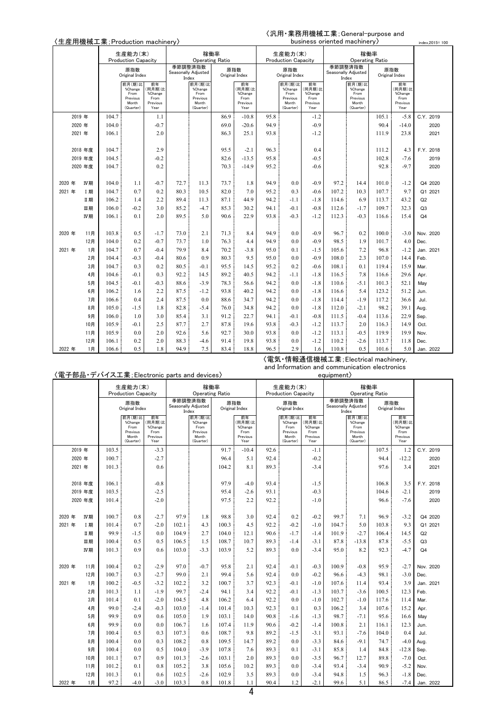# 〈汎用・業務用機械工業;General-purpose and

| 〈生産用機械工業; Production machinery〉 |         |                                                                |                                                             |                                                     |      |                                                             |      |                                                     |      |                                                             |                                                     | business oriented machinery |                                                             |       |                                                     | index, 2015=100 |
|---------------------------------|---------|----------------------------------------------------------------|-------------------------------------------------------------|-----------------------------------------------------|------|-------------------------------------------------------------|------|-----------------------------------------------------|------|-------------------------------------------------------------|-----------------------------------------------------|-----------------------------|-------------------------------------------------------------|-------|-----------------------------------------------------|-----------------|
|                                 |         | 生産能力(末)<br><b>Production Capacity</b><br>原指数<br>Original Index |                                                             |                                                     |      | 稼働率                                                         |      |                                                     |      | 生産能力(末)                                                     |                                                     |                             | 稼働率                                                         |       |                                                     |                 |
|                                 |         |                                                                |                                                             |                                                     |      | <b>Operating Ratio</b>                                      |      |                                                     |      | <b>Production Capacity</b>                                  |                                                     |                             | <b>Operating Ratio</b>                                      |       |                                                     |                 |
|                                 |         |                                                                |                                                             |                                                     |      | 季節調整済指数<br>Seasonally Adjusted<br>Index                     |      | 原指数<br>Original Index                               |      | 原指数<br>Original Index                                       |                                                     |                             | 季節調整済指数<br>Seasonally Adjusted<br>Index                     |       | 原指数<br>Original Index                               |                 |
|                                 |         |                                                                | 前月(期)比<br>%Change<br>From<br>Previous<br>Month<br>(Quarter) | 前年<br>(同月期)比<br>%Change<br>From<br>Previous<br>Year |      | 前月(期)比<br>%Change<br>From<br>Previous<br>Month<br>(Quarter) |      | 前年<br>(同月期)比<br>%Change<br>From<br>Previous<br>Year |      | 前月(期)比<br>%Change<br>From<br>Previous<br>Month<br>(Quarter) | 前年<br>(同月期)比<br>%Change<br>From<br>Previous<br>Year |                             | 前月(期)比<br>%Change<br>From<br>Previous<br>Month<br>(Quarter) |       | 前年<br>(同月期)比<br>%Change<br>From<br>Previous<br>Year |                 |
|                                 | 2019 年  | 104.7                                                          |                                                             | 1.1                                                 |      |                                                             | 86.9 | $-10.8$                                             | 95.8 |                                                             | -1.2                                                |                             |                                                             | 105.1 | $-5.8$                                              | C.Y. 2019       |
|                                 | 2020年   | 104.0                                                          |                                                             | $-0.7$                                              |      |                                                             | 69.0 | $-20.6$                                             | 94.9 |                                                             | $-0.9$                                              |                             |                                                             | 90.4  | $-14.0$                                             | 2020            |
|                                 | 2021 年  | 106.1                                                          |                                                             | 2.0                                                 |      |                                                             | 86.3 | 25.1                                                | 93.8 |                                                             | $-1.2$                                              |                             |                                                             | 111.9 | 23.8                                                | 2021            |
|                                 |         |                                                                |                                                             |                                                     |      |                                                             |      |                                                     |      |                                                             |                                                     |                             |                                                             |       |                                                     |                 |
|                                 | 2018年度  | 104.7                                                          |                                                             | 2.9                                                 |      |                                                             | 95.5 | $-2.1$                                              | 96.3 |                                                             | 0.4                                                 |                             |                                                             | 111.2 | 4.3                                                 | F.Y. 2018       |
|                                 | 2019 年度 | 104.5                                                          |                                                             | $-0.2$                                              |      |                                                             | 82.6 | $-13.5$                                             | 95.8 |                                                             | $-0.5$                                              |                             |                                                             | 102.8 | $-7.6$                                              | 2019            |
|                                 | 2020 年度 | 104.7                                                          |                                                             | 0.2                                                 |      |                                                             | 70.3 | $-14.9$                                             | 95.2 |                                                             | $-0.6$                                              |                             |                                                             | 92.8  | $-9.7$                                              | 2020            |
|                                 |         |                                                                |                                                             |                                                     |      |                                                             |      |                                                     |      |                                                             |                                                     |                             |                                                             |       |                                                     |                 |
| 2020 年                          | IV期     | 104.0                                                          | 1.1                                                         | $-0.7$                                              | 72.7 | 11.3                                                        | 73.7 | 1.8                                                 | 94.9 | 0.0                                                         | $-0.9$                                              | 97.2                        | 14.4                                                        | 101.0 | $-1.2$                                              | Q4 2020         |
| 2021 年                          | I期      | 104.7                                                          | 0.7                                                         | 0.2                                                 | 80.3 | 10.5                                                        | 82.0 | 7.0                                                 | 95.2 | 0.3                                                         | $-0.6$                                              | 107.2                       | 10.3                                                        | 107.7 | 9.7                                                 | Q1 2021         |
|                                 | Ⅱ期      | 106.2                                                          | 1.4                                                         | 2.2                                                 | 89.4 | 11.3                                                        | 87.1 | 44.9                                                | 94.2 | $-1.1$                                                      | $-1.8$                                              | 114.6                       | 6.9                                                         | 113.7 | 43.2                                                | Q2              |
|                                 | 皿期      | 106.0                                                          | $-0.2$                                                      | 3.0                                                 | 85.2 | $-4.7$                                                      | 85.3 | 30.2                                                | 94.1 | $-0.1$                                                      | $-0.8$                                              | 112.6                       | $-1.7$                                                      | 109.7 | 32.3                                                | Q3              |
|                                 | IV期     | 106.1                                                          | 0.1                                                         | 2.0                                                 | 89.5 | 5.0                                                         | 90.6 | 22.9                                                | 93.8 | $-0.3$                                                      | $-1.2$                                              | 112.3                       | $-0.3$                                                      | 116.6 | 15.4                                                | Q <sub>4</sub>  |
|                                 |         |                                                                |                                                             |                                                     |      |                                                             |      |                                                     |      |                                                             |                                                     |                             |                                                             |       |                                                     |                 |
| 2020 年                          | 11月     | 103.8                                                          | 0.5                                                         | $-1.7$                                              | 73.0 | 2.1                                                         | 71.3 | 8.4                                                 | 94.9 | 0.0                                                         | $-0.9$                                              | 96.7                        | 0.2                                                         | 100.0 | $-3.0$                                              | Nov. 2020       |
|                                 | 12月     | 104.0                                                          | 0.2                                                         | $-0.7$                                              | 73.7 | 1.0                                                         | 76.3 | 4.4                                                 | 94.9 | 0.0                                                         | $-0.9$                                              | 98.5                        | 1.9                                                         | 101.7 | 4.0                                                 | Dec.            |
| 2021 年                          | 1月      | 104.7                                                          | 0.7                                                         | $-0.4$                                              | 79.9 | 8.4                                                         | 70.2 | $-3.8$                                              | 95.0 | 0.1                                                         | $-1.5$                                              | 105.6                       | 7.2                                                         | 96.8  | $-1.2$                                              | Jan. 2021       |
|                                 | 2月      | 104.4                                                          | $-0.3$                                                      | $-0.4$                                              | 80.6 | 0.9                                                         | 80.3 | 9.5                                                 | 95.0 | 0.0                                                         | $-0.9$                                              | 108.0                       | 2.3                                                         | 107.0 | 14.4                                                | Feb.            |
|                                 | 3月      | 104.7                                                          | 0.3                                                         | 0.2                                                 | 80.5 | $-0.1$                                                      | 95.5 | 14.5                                                | 95.2 | 0.2                                                         | $-0.6$                                              | 108.1                       | 0.1                                                         | 119.4 | 15.9                                                | Mar.            |
|                                 | 4月      | 104.6                                                          | $-0.1$                                                      | 0.3                                                 | 92.2 | 14.5                                                        | 89.2 | 40.5                                                | 94.2 | $-1.1$                                                      | $-1.8$                                              | 116.5                       | 7.8                                                         | 116.6 | 29.6                                                | Apr.            |
|                                 | 5月      | 104.5                                                          | $-0.1$                                                      | $-0.3$                                              | 88.6 | $-3.9$                                                      | 78.3 | 56.6                                                | 94.2 | 0.0                                                         | $-1.8$                                              | 110.6                       | $-5.1$                                                      | 101.3 | 52.1                                                | May             |
|                                 | 6月      | 106.2                                                          | 1.6                                                         | 2.2                                                 | 87.5 | $-1.2$                                                      | 93.8 | 40.2                                                | 94.2 | 0.0                                                         | $-1.8$                                              | 116.6                       | 5.4                                                         | 123.2 | 51.2                                                | Jun.            |
|                                 | 7月      | 106.6                                                          | 0.4                                                         | 2.4                                                 | 87.5 | 0.0                                                         | 88.6 | 34.7                                                | 94.2 | 0.0                                                         | $-1.8$                                              | 114.4                       | $-1.9$                                                      | 117.2 | 36.6                                                | Jul.            |
|                                 | 8月      | 105.0                                                          | $-1.5$                                                      | 1.8                                                 | 82.8 | $-5.4$                                                      | 76.0 | 34.8                                                | 94.2 | 0.0                                                         | $-1.8$                                              | 112.0                       | $-2.1$                                                      | 98.2  | 39.1                                                | Aug.            |
|                                 | 9月      | 106.0                                                          | 1.0                                                         | 3.0                                                 | 85.4 | 3.1                                                         | 91.2 | 22.7                                                | 94.1 | $-0.1$                                                      | $-0.8$                                              | 111.5                       | $-0.4$                                                      | 113.6 | 22.9                                                | Sep.            |
|                                 | 10月     | 105.9                                                          | $-0.1$                                                      | 2.5                                                 | 87.7 | 2.7                                                         | 87.8 | 19.6                                                | 93.8 | $-0.3$                                                      | $-1.2$                                              | 113.7                       | 2.0                                                         | 116.3 | 14.9                                                | Oct.            |
|                                 | 11月     | 105.9                                                          | 0.0                                                         | 2.0                                                 | 92.6 | 5.6                                                         | 92.7 | 30.0                                                | 93.8 | 0.0                                                         | $-1.2$                                              | 113.1                       | $-0.5$                                                      | 119.9 | 19.9                                                | Nov.            |
|                                 | 12月     | 106.1                                                          | 0.2                                                         | 2.0                                                 | 88.3 | -4.6                                                        | 91.4 | 19.8                                                | 93.8 | 0.0                                                         | $-1.2$                                              | 110.2                       | $-2.6$                                                      | 113.7 | 11.8                                                | Dec.            |
| 2022 年                          | 1月      | 106.6                                                          | 0.5                                                         | 1.8                                                 | 94.9 | 7.5                                                         | 83.4 | 18.8                                                | 96.5 | 2.9                                                         | 1.6                                                 | 110.8                       | 0.5                                                         | 101.6 | 5.0                                                 | Jan. 2022       |

#### 〈電子部品・デバイス工業;Electronic parts and devices〉

〈電気・情報通信機械工業;Electrical machinery, and Information and communication electronics equipment〉

|        |         |       | 生産能力(末)<br><b>Production Capacity</b>                       |                                                     |       | 稼働率<br><b>Operating Ratio</b>                               |       |                                                     |      | 生産能力(末)<br><b>Production Capacity</b>                       |                                                     |       | 稼働率<br><b>Operating Ratio</b>                               |       |                                                     |                |
|--------|---------|-------|-------------------------------------------------------------|-----------------------------------------------------|-------|-------------------------------------------------------------|-------|-----------------------------------------------------|------|-------------------------------------------------------------|-----------------------------------------------------|-------|-------------------------------------------------------------|-------|-----------------------------------------------------|----------------|
|        |         |       | 原指数<br>Original Index                                       |                                                     | Index | 季節調整済指数<br>Seasonally Adiusted                              |       | 原指数<br>Original Index                               |      | 原指数<br>Original Index                                       |                                                     |       | 季節調整済指数<br>Seasonally Adiusted<br>Index                     |       | 原指数<br>Original Index                               |                |
|        |         |       | 前月(期)比<br>%Change<br>From<br>Previous<br>Month<br>(Quarter) | 前年<br>(同月期)比<br>%Change<br>From<br>Previous<br>Year |       | 前月(期)比<br>%Change<br>From<br>Previous<br>Month<br>(Quarter) |       | 前年<br>(同月期)比<br>%Change<br>From<br>Previous<br>Year |      | 前月(期)比<br>%Change<br>From<br>Previous<br>Month<br>(Quarter) | 前年<br>(同月期)比<br>%Change<br>From<br>Previous<br>Year |       | 前月(期)比<br>%Change<br>From<br>Previous<br>Month<br>(Quarter) |       | 前年<br>(同月期)比<br>%Change<br>From<br>Previous<br>Year |                |
|        | 2019 年  | 103.5 |                                                             | $-3.3$                                              |       |                                                             | 91.7  | $-10.4$                                             | 92.6 |                                                             | $-1.1$                                              |       |                                                             | 107.5 | 1.2                                                 | C.Y. 2019      |
|        | 2020 年  | 100.7 |                                                             | $-2.7$                                              |       |                                                             | 96.4  | 5.1                                                 | 92.4 |                                                             | $-0.2$                                              |       |                                                             | 94.4  | $-12.2$                                             | 2020           |
|        | 2021 年  | 101.3 |                                                             | 0.6                                                 |       |                                                             | 104.2 | 8.1                                                 | 89.3 |                                                             | $-3.4$                                              |       |                                                             | 97.6  | 3.4                                                 | 2021           |
|        |         |       |                                                             |                                                     |       |                                                             |       |                                                     |      |                                                             |                                                     |       |                                                             |       |                                                     |                |
|        | 2018 年度 | 106.1 |                                                             | $-0.8$                                              |       |                                                             | 97.9  | $-4.0$                                              | 93.4 |                                                             | $-1.5$                                              |       |                                                             | 106.8 | 3.5                                                 | F.Y. 2018      |
|        | 2019 年度 | 103.5 |                                                             | $-2.5$                                              |       |                                                             | 95.4  | $-2.6$                                              | 93.1 |                                                             | $-0.3$                                              |       |                                                             | 104.6 | $-2.1$                                              | 2019           |
|        | 2020 年度 | 101.4 |                                                             | $-2.0$                                              |       |                                                             | 97.5  | 2.2                                                 | 92.2 |                                                             | $-1.0$                                              |       |                                                             | 96.6  | $-7.6$                                              | 2020           |
|        |         |       |                                                             |                                                     |       |                                                             |       |                                                     |      |                                                             |                                                     |       |                                                             |       |                                                     |                |
| 2020 年 | IV期     | 100.7 | 0.8                                                         | $-2.7$                                              | 97.9  | 1.8                                                         | 98.8  | 3.0                                                 | 92.4 | 0.2                                                         | $-0.2$                                              | 99.7  | 7.1                                                         | 96.9  | $-3.2$                                              | Q4 2020        |
| 2021 年 | I期      | 101.4 | 0.7                                                         | $-2.0$                                              | 102.1 | 4.3                                                         | 100.3 | 4.5                                                 | 92.2 | $-0.2$                                                      | $-1.0$                                              | 104.7 | 5.0                                                         | 103.8 | 9.3                                                 | Q1 2021        |
|        | Ⅱ期      | 99.9  | $-1.5$                                                      | 0.0                                                 | 104.9 | 2.7                                                         | 104.0 | 12.1                                                | 90.6 | $-1.7$                                                      | $-1.4$                                              | 101.9 | $-2.7$                                                      | 106.4 | 14.5                                                | Q2             |
|        | 皿期      | 100.4 | 0.5                                                         | 0.5                                                 | 106.5 | 1.5                                                         | 108.7 | 10.7                                                | 89.3 | $-1.4$                                                      | $-3.1$                                              | 87.8  | $-13.8$                                                     | 87.8  | $-5.5$                                              | Q <sub>3</sub> |
|        | IV期     | 101.3 | 0.9                                                         | 0.6                                                 | 103.0 | $-3.3$                                                      | 103.9 | 5.2                                                 | 89.3 | 0.0                                                         | $-3.4$                                              | 95.0  | 8.2                                                         | 92.3  | $-4.7$                                              | Q <sub>4</sub> |
|        |         |       |                                                             |                                                     |       |                                                             |       |                                                     |      |                                                             |                                                     |       |                                                             |       |                                                     |                |
| 2020 年 | 11月     | 100.4 | 0.2                                                         | $-2.9$                                              | 97.0  | $-0.7$                                                      | 95.8  | 2.1                                                 | 92.4 | $-0.1$                                                      | $-0.3$                                              | 100.9 | $-0.8$                                                      | 95.9  | $-2.7$                                              | Nov. 2020      |
|        | 12月     | 100.7 | 0.3                                                         | $-2.7$                                              | 99.0  | 2.1                                                         | 99.4  | 5.6                                                 | 92.4 | 0.0                                                         | $-0.2$                                              | 96.6  | $-4.3$                                                      | 98.1  | $-3.0$                                              | Dec.           |
| 2021 年 | 1月      | 100.2 | $-0.5$                                                      | $-3.2$                                              | 102.2 | 3.2                                                         | 100.7 | 3.7                                                 | 92.3 | $-0.1$                                                      | $-1.0$                                              | 107.6 | 11.4                                                        | 93.4  | 3.9                                                 | Jan. 2021      |
|        | 2月      | 101.3 | 1.1                                                         | $-1.9$                                              | 99.7  | $-2.4$                                                      | 94.1  | 3.4                                                 | 92.2 | $-0.1$                                                      | $-1.3$                                              | 103.7 | $-3.6$                                                      | 100.5 | 12.3                                                | Feb.           |
|        | 3月      | 101.4 | 0.1                                                         | $-2.0$                                              | 104.5 | 4.8                                                         | 106.2 | 6.4                                                 | 92.2 | 0.0                                                         | $-1.0$                                              | 102.7 | $-1.0$                                                      | 117.6 | 11.4                                                | Mar.           |
|        | 4月      | 99.0  | $-2.4$                                                      | $-0.3$                                              | 103.0 | $-1.4$                                                      | 101.4 | 10.3                                                | 92.3 | 0.1                                                         | 0.3                                                 | 106.2 | 3.4                                                         | 107.6 | 15.2                                                | Apr.           |
|        | 5月      | 99.9  | 0.9                                                         | 0.6                                                 | 105.0 | 1.9                                                         | 103.1 | 14.0                                                | 90.8 | $-1.6$                                                      | $-1.3$                                              | 98.7  | $-7.1$                                                      | 95.6  | 16.6                                                | May            |
|        | 6月      | 99.9  | 0.0                                                         | 0.0                                                 | 106.7 | 1.6                                                         | 107.4 | 11.9                                                | 90.6 | $-0.2$                                                      | $-1.4$                                              | 100.8 | 2.1                                                         | 116.1 | 12.3                                                | Jun.           |
|        | 7月      | 100.4 | 0.5                                                         | 0.3                                                 | 107.3 | 0.6                                                         | 108.7 | 9.8                                                 | 89.2 | $-1.5$                                                      | $-3.1$                                              | 93.1  | $-7.6$                                                      | 104.0 | 0.4                                                 | Jul.           |
|        | 8月      | 100.4 | 0.0                                                         | 0.3                                                 | 108.2 | 0.8                                                         | 109.5 | 14.7                                                | 89.2 | 0.0                                                         | $-3.3$                                              | 84.6  | $-9.1$                                                      | 74.7  | $-4.0$                                              | Aug.           |
|        | 9月      | 100.4 | 0.0                                                         | 0.5                                                 | 104.0 | $-3.9$                                                      | 107.8 | 7.6                                                 | 89.3 | 0.1                                                         | $-3.1$                                              | 85.8  | 1.4                                                         | 84.8  | $-12.8$                                             | Sep.           |
|        | 10月     | 101.1 | 0.7                                                         | 0.9                                                 | 101.3 | $-2.6$                                                      | 103.1 | 2.0                                                 | 89.3 | 0.0                                                         | $-3.5$                                              | 96.7  | 12.7                                                        | 89.8  | $-7.0$                                              | Oct.           |
|        | 11月     | 101.2 | 0.1                                                         | 0.8                                                 | 105.2 | 3.8                                                         | 105.6 | 10.2                                                | 89.3 | 0.0                                                         | $-3.4$                                              | 93.4  | $-3.4$                                                      | 90.9  | $-5.2$                                              | Nov.           |
|        | 12月     | 101.3 | 0.1                                                         | 0.6                                                 | 102.5 | $-2.6$                                                      | 102.9 | 3.5                                                 | 89.3 | 0.0                                                         | $-3.4$                                              | 94.8  | 1.5                                                         | 96.3  | $-1.8$                                              | Dec.           |
| 2022 年 | 1月      | 97.2  | $-4.0$                                                      | $-3.0$                                              | 103.3 | 0.8                                                         | 101.8 | 1.1<br>$\overline{ }$                               | 90.4 | 1.2                                                         | $-2.1$                                              | 99.6  | 5.1                                                         | 86.5  | $-7.4$                                              | Jan. 2022      |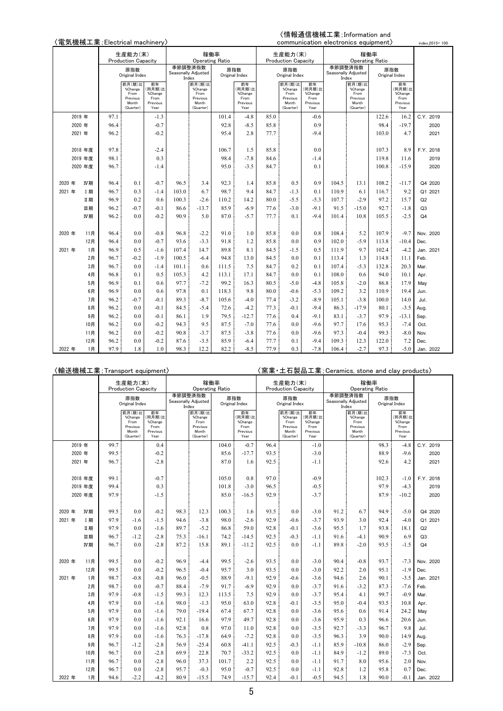# 〈情報通信機械工業;Information and

|        |         | {電気機械工業; Electrical machinery〉<br>生産能力(末)<br><b>Production Capacity</b> |                                                             |                                                     |       |                                                             |       |                                                    |      |                                                             |                                                     | communication electronics equipment) |                                                             |       |                                                     | index, 2015=100 |
|--------|---------|-------------------------------------------------------------------------|-------------------------------------------------------------|-----------------------------------------------------|-------|-------------------------------------------------------------|-------|----------------------------------------------------|------|-------------------------------------------------------------|-----------------------------------------------------|--------------------------------------|-------------------------------------------------------------|-------|-----------------------------------------------------|-----------------|
|        |         |                                                                         |                                                             |                                                     |       | 稼働率<br><b>Operating Ratio</b>                               |       |                                                    |      | 生産能力(末)<br>Production Capacity                              |                                                     |                                      | <b>Operating Ratio</b>                                      | 稼働率   |                                                     |                 |
|        |         |                                                                         | 原指数<br>Original Index                                       |                                                     |       | 季節調整済指数<br>Seasonally Adjusted<br>Index                     |       | 原指数<br>Original Index                              |      | 原指数<br>Original Index                                       |                                                     | 季節調整済指数<br>Index                     | Seasonally Adjusted                                         | 原指数   | Original Index                                      |                 |
|        |         |                                                                         | 前月(期)比<br>%Change<br>From<br>Previous<br>Month<br>(Quarter) | 前年<br>(同月期)比<br>%Change<br>From<br>Previous<br>Year |       | 前月(期)比<br>%Change<br>From<br>Previous<br>Month<br>(Quarter) |       | 前年<br>同月期)比<br>%Change<br>From<br>Previous<br>Year |      | 前月(期)比<br>%Change<br>From<br>Previous<br>Month<br>(Quarter) | 前年<br>(同月期)比<br>%Change<br>From<br>Previous<br>Year |                                      | 前月(期)比<br>%Change<br>From<br>Previous<br>Month<br>(Quarter) |       | 前年<br>(同月期)比<br>%Change<br>From<br>Previous<br>Year |                 |
|        | 2019 年  | 97.1                                                                    |                                                             | $-1.3$                                              |       |                                                             | 101.4 | $-4.8$                                             | 85.0 |                                                             | $-0.6$                                              |                                      |                                                             | 122.6 | 16.2                                                | C.Y. 2019       |
|        | 2020年   | 96.4                                                                    |                                                             | $-0.7$                                              |       |                                                             | 92.8  | $-8.5$                                             | 85.8 |                                                             | 0.9                                                 |                                      |                                                             | 98.4  | $-19.7$                                             | 2020            |
|        | 2021 年  | 96.2                                                                    |                                                             | $-0.2$                                              |       |                                                             | 95.4  | 2.8                                                | 77.7 |                                                             | $-9.4$                                              |                                      |                                                             | 103.0 | 4.7                                                 | 2021            |
|        | 2018 年度 | 97.8                                                                    |                                                             | $-2.4$                                              |       |                                                             | 106.7 | 1.5                                                | 85.8 |                                                             | 0.0                                                 |                                      |                                                             | 107.3 | 8.9                                                 | F.Y. 2018       |
|        | 2019 年度 | 98.1                                                                    |                                                             | 0.3                                                 |       |                                                             | 98.4  | $-7.8$                                             | 84.6 |                                                             | $-1.4$                                              |                                      |                                                             | 119.8 | 11.6                                                | 2019            |
|        | 2020 年度 | 96.7                                                                    |                                                             | $-1.4$                                              |       |                                                             | 95.0  | $-3.5$                                             | 84.7 |                                                             | 0.1                                                 |                                      |                                                             | 100.8 | $-15.9$                                             | 2020            |
| 2020 年 | IV期     | 96.4                                                                    | 0.1                                                         | $-0.7$                                              | 96.5  | 3.4                                                         | 92.3  | 1.4                                                | 85.8 | 0.5                                                         | 0.9                                                 | 104.5                                | 13.1                                                        | 108.2 | $-11.7$                                             | Q4 2020         |
| 2021 年 | I 期     | 96.7                                                                    | 0.3                                                         | $-1.4$                                              | 103.0 | 6.7                                                         | 98.7  | 9.4                                                | 84.7 | $-1.3$                                                      | 0.1                                                 | 110.9                                | 6.1                                                         | 116.7 | 9.2                                                 | Q1 2021         |
|        | Ⅱ期      | 96.9                                                                    | 0.2                                                         | 0.6                                                 | 100.3 | $-2.6$                                                      | 110.2 | 14.2                                               | 80.0 | $-5.5$                                                      | $-5.3$                                              | 107.7                                | $-2.9$                                                      | 97.2  | 15.7                                                | Q2              |
|        | Ⅲ期      | 96.2                                                                    | $-0.7$                                                      | $-0.1$                                              | 86.6  | $-13.7$                                                     | 85.9  | $-6.9$                                             | 77.6 | $-3.0$                                                      | $-9.1$                                              | 91.5                                 | $-15.0$                                                     | 92.7  | $-1.8$                                              | Q <sub>3</sub>  |
|        | IV期     | 96.2                                                                    | 0.0                                                         | $-0.2$                                              | 90.9  | 5.0                                                         | 87.0  | $-5.7$                                             | 77.7 | 0.1                                                         | $-9.4$                                              | 101.4                                | 10.8                                                        | 105.5 | $-2.5$                                              | Q <sub>4</sub>  |
| 2020 年 | 11月     | 96.4                                                                    | 0.0                                                         | $-0.8$                                              | 96.8  | $-2.2$                                                      | 91.0  | 1.0                                                | 85.8 | 0.0                                                         | 0.8                                                 | 108.4                                | 5.2                                                         | 107.9 | $-9.7$                                              | Nov. 2020       |
|        | 12月     | 96.4                                                                    | 0.0                                                         | $-0.7$                                              | 93.6  | $-3.3$                                                      | 91.8  | 1.2                                                | 85.8 | 0.0                                                         | 0.9                                                 | 102.0                                | $-5.9$                                                      | 113.8 | $-10.4$                                             | Dec.            |
| 2021 年 | 1月      | 96.9                                                                    | 0.5                                                         | $-1.6$                                              | 107.4 | 14.7                                                        | 89.8  | 8.1                                                | 84.5 | $-1.5$                                                      | 0.5                                                 | 111.9                                | 9.7                                                         | 102.4 | $-4.2$                                              | Jan. 2021       |
|        | 2月      | 96.7                                                                    | $-0.2$                                                      | $-1.9$                                              | 100.5 | $-6.4$                                                      | 94.8  | 13.0                                               | 84.5 | 0.0                                                         | 0.1                                                 | 113.4                                | 1.3                                                         | 114.8 | 11.1                                                | Feb.            |
|        | 3月      | 96.7                                                                    | 0.0                                                         | $-1.4$                                              | 101.1 | 0.6                                                         | 111.5 | 7.5                                                | 84.7 | 0.2                                                         | 0.1                                                 | 107.4                                | $-5.3$                                                      | 132.8 | 20.3                                                | Mar.            |
|        | 4月      | 96.8                                                                    | 0.1                                                         | 0.5                                                 | 105.3 | 4.2                                                         | 113.1 | 17.1                                               | 84.7 | 0.0                                                         | 0.1                                                 | 108.0                                | 0.6                                                         | 94.0  | 10.1                                                | Apr.            |
|        | 5月      | 96.9                                                                    | 0.1                                                         | 0.6                                                 | 97.7  | $-7.2$                                                      | 99.2  | 16.3                                               | 80.5 | $-5.0$                                                      | $-4.8$                                              | 105.8                                | $-2.0$                                                      | 86.8  | 17.9                                                | May             |
|        | 6月      | 96.9                                                                    | 0.0                                                         | 0.6                                                 | 97.8  | 0.1                                                         | 118.3 | 9.8                                                | 80.0 | $-0.6$                                                      | $-5.3$                                              | 109.2                                | 3.2                                                         | 110.9 | 19.4                                                | Jun.            |
|        | 7月      | 96.2                                                                    | $-0.7$                                                      | $-0.1$                                              | 89.3  | $-8.7$                                                      | 105.6 | $-4.0$                                             | 77.4 | $-3.2$                                                      | $-8.9$                                              | 105.1                                | $-3.8$                                                      | 100.0 | 14.0                                                | Jul.            |
|        | 8月      | 96.2                                                                    | 0.0                                                         | $-0.1$                                              | 84.5  | $-5.4$                                                      | 72.6  | $-4.2$                                             | 77.3 | $-0.1$                                                      | $-9.4$                                              | 86.3                                 | $-17.9$                                                     | 80.1  | $-3.5$                                              | Aug.            |
|        | 9月      | 96.2                                                                    | 0.0                                                         | $-0.1$                                              | 86.1  | 1.9                                                         | 79.5  | $-12.7$                                            | 77.6 | 0.4                                                         | $-9.1$                                              | 83.1                                 | $-3.7$                                                      | 97.9  | $-13.1$                                             | Sep.            |
|        | 10月     | 96.2                                                                    | 0.0                                                         | $-0.2$                                              | 94.3  | 9.5                                                         | 87.5  | $-7.0$                                             | 77.6 | 0.0                                                         | $-9.6$                                              | 97.7                                 | 17.6                                                        | 95.3  | $-7.4$                                              | Oct.            |
|        | 11月     | 96.2                                                                    | 0.0                                                         | $-0.2$                                              | 90.8  | $-3.7$                                                      | 87.5  | $-3.8$                                             | 77.6 | 0.0                                                         | $-9.6$                                              | 97.3                                 | $-0.4$                                                      | 99.3  | $-8.0$                                              | Nov.            |
|        | 12月     | 96.2                                                                    | 0.0                                                         | $-0.2$                                              | 87.6  | $-3.5$                                                      | 85.9  | -6.4                                               | 77.7 | 0.1                                                         | $-9.4$                                              | 109.3                                | 12.3                                                        | 122.0 | 7.2                                                 | Dec.            |
| 2022 年 | 1月      | 97.9                                                                    | 1.8                                                         | 1.0                                                 | 98.3  | 12.2                                                        | 82.2  | $-8.5$                                             | 77.9 | 0.3                                                         | $-7.8$                                              | 106.4                                | $-2.7$                                                      | 97.3  | $-5.0$                                              | Jan. 2022       |

|        |        |           |      | 〈輸送機械工業:Transport equipment〉                                |                                                     |      |                                                             |                        |                                                     |      |                                                             |                                                     | 〈窯業・土石製品工業;Ceramics, stone and clay products〉 |                                                             |       |                                                     |                |
|--------|--------|-----------|------|-------------------------------------------------------------|-----------------------------------------------------|------|-------------------------------------------------------------|------------------------|-----------------------------------------------------|------|-------------------------------------------------------------|-----------------------------------------------------|-----------------------------------------------|-------------------------------------------------------------|-------|-----------------------------------------------------|----------------|
|        |        |           |      | 生産能力(末)                                                     |                                                     |      |                                                             | 稼働率                    |                                                     |      | 生産能力(末)                                                     |                                                     |                                               | 稼働率                                                         |       |                                                     |                |
|        |        |           |      | <b>Production Capacity</b>                                  |                                                     |      |                                                             | <b>Operating Ratio</b> |                                                     |      | <b>Production Capacity</b>                                  |                                                     |                                               | <b>Operating Ratio</b>                                      |       |                                                     |                |
|        |        |           |      | 原指数<br>Original Index                                       |                                                     |      | 季節調整済指数<br>Seasonally Adjusted<br>Index                     |                        | 原指数<br>Original Index                               |      | 原指数<br>Original Index                                       |                                                     |                                               | 季節調整済指数<br>Seasonally Adjusted<br>Index                     |       | 原指数<br>Original Index                               |                |
|        |        |           |      | 前月(期)比<br>%Change<br>From<br>Previous<br>Month<br>(Quarter) | 前年<br>(同月期)比<br>%Change<br>From<br>Previous<br>Year |      | 前月(期)比<br>%Change<br>From<br>Previous<br>Month<br>(Quarter) |                        | 前年<br>(同月期)比<br>%Change<br>From<br>Previous<br>Year |      | 前月(期)比<br>%Change<br>From<br>Previous<br>Month<br>(Quarter) | 前年<br>(同月期)比<br>%Change<br>From<br>Previous<br>Year |                                               | 前月(期)比<br>%Change<br>From<br>Previous<br>Month<br>(Quarter) |       | 前年<br>(同月期)比<br>%Change<br>From<br>Previous<br>Year |                |
|        | 2019 年 |           | 99.7 |                                                             | 0.4                                                 |      |                                                             | 104.0                  | $-0.7$                                              | 96.4 |                                                             | $-1.0$                                              |                                               |                                                             | 98.3  | $-4.8$                                              | C.Y. 2019      |
|        | 2020 年 |           | 99.5 |                                                             | $-0.2$                                              |      |                                                             | 85.6                   | $-17.7$                                             | 93.5 |                                                             | $-3.0$                                              |                                               |                                                             | 88.9  | $-9.6$                                              | 2020           |
|        | 2021 年 |           | 96.7 |                                                             | $-2.8$                                              |      |                                                             | 87.0                   | 1.6                                                 | 92.5 |                                                             | $-1.1$                                              |                                               |                                                             | 92.6  | 4.2                                                 | 2021           |
|        |        |           |      |                                                             |                                                     |      |                                                             |                        |                                                     |      |                                                             |                                                     |                                               |                                                             |       |                                                     |                |
|        |        | 2018 年度   | 99.1 |                                                             | $-0.7$                                              |      |                                                             | 105.0                  | 0.8                                                 | 97.0 |                                                             | $-0.9$                                              |                                               |                                                             | 102.3 | $-1.0$                                              | F.Y. 2018      |
|        |        | 2019 年度   | 99.4 |                                                             | 0.3                                                 |      |                                                             | 101.8                  | $-3.0$                                              | 96.5 |                                                             | $-0.5$                                              |                                               |                                                             | 97.9  | $-4.3$                                              | 2019           |
|        |        | 2020 年度   | 97.9 |                                                             | $-1.5$                                              |      |                                                             | 85.0                   | $-16.5$                                             | 92.9 |                                                             | $-3.7$                                              |                                               |                                                             | 87.9  | $-10.2$                                             | 2020           |
|        |        |           |      |                                                             |                                                     |      |                                                             |                        |                                                     |      |                                                             |                                                     |                                               |                                                             |       |                                                     |                |
| 2020 年 |        | IV期       | 99.5 | 0.0                                                         | $-0.2$                                              | 98.3 | 12.3                                                        | 100.3                  | 1.6                                                 | 93.5 | 0.0                                                         | $-3.0$                                              | 91.2                                          | 6.7                                                         | 94.9  | $-5.0$                                              | Q4 2020        |
| 2021 年 |        | <b>I期</b> | 97.9 | $-1.6$                                                      | $-1.5$                                              | 94.6 | $-3.8$                                                      | 98.0                   | $-2.6$                                              | 92.9 | $-0.6$                                                      | $-3.7$                                              | 93.9                                          | 3.0                                                         | 92.4  | $-4.0$                                              | Q1 2021        |
|        |        | Ⅱ期        | 97.9 | 0.0                                                         | $-1.6$                                              | 89.7 | $-5.2$                                                      | 86.8                   | 59.0                                                | 92.8 | $-0.1$                                                      | $-3.6$                                              | 95.5                                          | 1.7                                                         | 93.8  | 18.1                                                | Q2             |
|        |        | Ⅲ期        | 96.7 | $-1.2$                                                      | $-2.8$                                              | 75.3 | $-16.1$                                                     | 74.2                   | $-14.5$                                             | 92.5 | $-0.3$                                                      | $-1.1$                                              | 91.6                                          | $-4.1$                                                      | 90.9  | 6.9                                                 | Q <sub>3</sub> |
|        |        | IV期       | 96.7 | 0.0                                                         | $-2.8$                                              | 87.2 | 15.8                                                        | 89.1                   | $-11.2$                                             | 92.5 | 0.0                                                         | $-1.1$                                              | 89.8                                          | $-2.0$                                                      | 93.5  | $-1.5$                                              | Q <sub>4</sub> |
|        |        |           |      |                                                             |                                                     |      |                                                             |                        |                                                     |      |                                                             |                                                     |                                               |                                                             |       |                                                     |                |
| 2020 年 |        | 11月       | 99.5 | 0.0                                                         | $-0.2$                                              | 96.9 | $-4.4$                                                      | 99.5                   | $-2.6$                                              | 93.5 | 0.0                                                         | $-3.0$                                              | 90.4                                          | $-0.8$                                                      | 93.7  | $-7.3$                                              | Nov. 2020      |
|        |        | 12月       | 99.5 | 0.0                                                         | $-0.2$                                              | 96.5 | $-0.4$                                                      | 95.7                   | 3.0                                                 | 93.5 | 0.0                                                         | $-3.0$                                              | 92.2                                          | 2.0                                                         | 95.1  | $-1.9$                                              | Dec.           |
| 2021 年 |        | 1月        | 98.7 | $-0.8$                                                      | $-0.8$                                              | 96.0 | $-0.5$                                                      | 88.9                   | $-9.1$                                              | 92.9 | $-0.6$                                                      | $-3.6$                                              | 94.6                                          | 2.6                                                         | 90.1  | $-3.5$                                              | Jan. 2021      |
|        |        | 2月        | 98.7 | 0.0                                                         | $-0.7$                                              | 88.4 | $-7.9$                                                      | 91.7                   | $-6.9$                                              | 92.9 | 0.0                                                         | $-3.7$                                              | 91.6                                          | $-3.2$                                                      | 87.3  | $-7.6$                                              | Feb.           |
|        |        | 3月        | 97.9 | $-0.8$                                                      | $-1.5$                                              | 99.3 | 12.3                                                        | 113.5                  | 7.5                                                 | 92.9 | 0.0                                                         | $-3.7$                                              | 95.4                                          | 4.1                                                         | 99.7  | $-0.9$                                              | Mar.           |
|        |        | 4月        | 97.9 | 0.0                                                         | $-1.6$                                              | 98.0 | $-1.3$                                                      | 95.0                   | 63.0                                                | 92.8 | $-0.1$                                                      | $-3.5$                                              | 95.0                                          | $-0.4$                                                      | 93.5  | 10.8                                                | Apr.           |
|        |        | 5月        | 97.9 | 0.0                                                         | $-1.6$                                              | 79.0 | $-19.4$                                                     | 67.4                   | 67.7                                                | 92.8 | 0.0                                                         | $-3.6$                                              | 95.6                                          | 0.6                                                         | 91.4  | 24.2                                                | May            |
|        |        | 6月        | 97.9 | 0.0                                                         | $-1.6$                                              | 92.1 | 16.6                                                        | 97.9                   | 49.7                                                | 92.8 | 0.0                                                         | $-3.6$                                              | 95.9                                          | 0.3                                                         | 96.6  | 20.6                                                | Jun.           |
|        |        | 7月        | 97.9 | 0.0                                                         | $-1.6$                                              | 92.8 | 0.8                                                         | 97.0                   | 11.0                                                | 92.8 | 0.0                                                         | $-3.5$                                              | 92.7                                          | $-3.3$                                                      | 96.7  | 9.8                                                 | Jul.           |
|        |        | 8月        | 97.9 | 0.0                                                         | $-1.6$                                              | 76.3 | $-17.8$                                                     | 64.9                   | $-7.2$                                              | 92.8 | 0.0                                                         | $-3.5$                                              | 96.3                                          | 3.9                                                         | 90.0  | 14.9                                                | Aug.           |
|        |        | 9月        | 96.7 | $-1.2$                                                      | $-2.8$                                              | 56.9 | $-25.4$                                                     | 60.8                   | $-41.1$                                             | 92.5 | $-0.3$                                                      | $-1.1$                                              | 85.9                                          | $-10.8$                                                     | 86.0  | $-2.9$                                              | Sep.           |
|        |        | 10月       | 96.7 | 0.0                                                         | $-2.8$                                              | 69.9 | 22.8                                                        | 70.7                   | $-33.2$                                             | 92.5 | 0.0                                                         | $-1.1$                                              | 84.9                                          | $-1.2$                                                      | 89.0  | $-7.3$                                              | Oct.           |
|        |        | 11月       | 96.7 | 0.0                                                         | $-2.8$                                              | 96.0 | 37.3                                                        | 101.7                  | 2.2                                                 | 92.5 | 0.0                                                         | $-1.1$                                              | 91.7                                          | 8.0                                                         | 95.6  | 2.0                                                 | Nov.           |
|        |        | 12月       | 96.7 | 0.0                                                         | $-2.8$                                              | 95.7 | $-0.3$                                                      | 95.0                   | $-0.7$                                              | 92.5 | 0.0                                                         | $-1.1$                                              | 92.8                                          | 1.2                                                         | 95.8  | 0.7                                                 | Dec.           |
| 2022 年 |        | 1月        | 94.6 | $-2.2$                                                      | $-4.2$                                              | 80.9 | $-15.5$                                                     | 74.9                   | $-15.7$                                             | 92.4 | $-0.1$                                                      | $-0.5$                                              | 94.5                                          | 1.8                                                         | 90.0  | $-0.1$                                              | Jan. 2022      |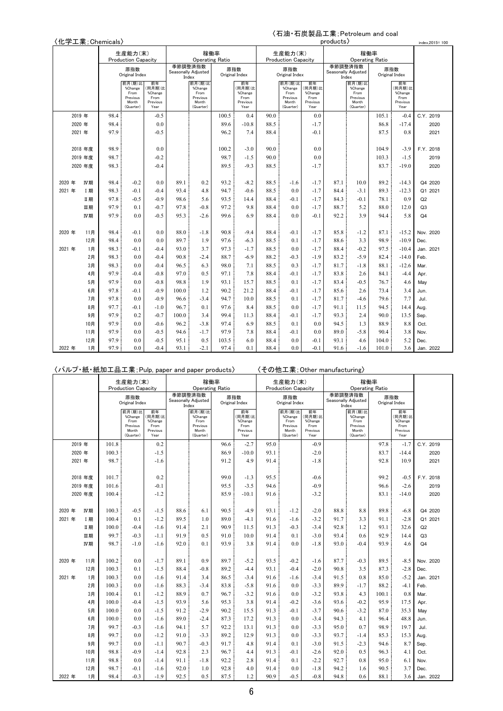### 〈石油・石炭製品工業;Petroleum and coal

|        | \口油"口火发m工未;Petroleum and coal<br>〈化学工業; Chemicals〉<br>products><br>index, 2015=100<br>稼働率<br>生産能力(末)<br>稼働率<br>生産能力(末)<br><b>Operating Ratio</b><br><b>Operating Ratio</b><br><b>Production Capacity</b><br><b>Production Capacity</b> |         |        |                                       |                                 |       |                                       |        |                                 |        |                                       |                                 |                              |                                       |                       |                                 |                |
|--------|----------------------------------------------------------------------------------------------------------------------------------------------------------------------------------------------------------------------------------------|---------|--------|---------------------------------------|---------------------------------|-------|---------------------------------------|--------|---------------------------------|--------|---------------------------------------|---------------------------------|------------------------------|---------------------------------------|-----------------------|---------------------------------|----------------|
|        |                                                                                                                                                                                                                                        |         |        |                                       |                                 |       |                                       |        |                                 |        |                                       |                                 |                              |                                       |                       |                                 |                |
|        |                                                                                                                                                                                                                                        |         |        |                                       |                                 |       |                                       |        |                                 |        |                                       |                                 |                              |                                       |                       |                                 |                |
|        |                                                                                                                                                                                                                                        |         |        |                                       |                                 |       | 季節調整済指数                               |        |                                 |        |                                       |                                 | 季節調整済指数                      |                                       |                       |                                 |                |
|        |                                                                                                                                                                                                                                        |         |        | 原指数<br>Original Index                 |                                 |       | Seasonally Adjusted<br>Index          |        | 原指数<br>Original Index           |        | 原指数<br>Original Index                 |                                 | Seasonally Adjusted<br>Index |                                       | 原指数<br>Original Index |                                 |                |
|        |                                                                                                                                                                                                                                        |         |        | 前月(期)比<br>%Change<br>From<br>Previous | 前年<br>(同月期)比<br>%Change<br>From |       | 前月(期)比<br>%Change<br>From<br>Previous |        | 前年<br>(同月期)比<br>%Change<br>From |        | 前月(期)比<br>%Change<br>From<br>Previous | 前年<br>(同月期)比<br>%Change<br>From |                              | 前月(期)比<br>%Change<br>From<br>Previous |                       | 前年<br>(同月期)比<br>%Change<br>From |                |
|        |                                                                                                                                                                                                                                        |         |        | Month<br>(Quarter)                    | Previous<br>Year                |       | Month<br>(Quarter)                    |        | Previous<br>Year                |        | Month<br>(Quarter)                    | Previous<br>Year                |                              | Month<br>(Quarter)                    |                       | Previous<br>Year                |                |
|        | 2019 年                                                                                                                                                                                                                                 |         | 98.4   |                                       | $-0.5$                          |       |                                       | 100.5  | 0.4                             | 90.0   |                                       | 0.0                             |                              |                                       | 105.1                 | $-0.4$                          | C.Y. 2019      |
|        | 2020年                                                                                                                                                                                                                                  |         | 98.4   |                                       | 0.0                             |       |                                       | 89.6   | $-10.8$                         | 88.5   |                                       | $-1.7$                          |                              |                                       | 86.8                  | $-17.4$                         | 2020           |
|        | 2021 年                                                                                                                                                                                                                                 |         | 97.9   |                                       | $-0.5$                          |       |                                       | 96.2   | 7.4                             | 88.4   |                                       | $-0.1$                          |                              |                                       | 87.5                  | 0.8                             | 2021           |
|        |                                                                                                                                                                                                                                        |         |        |                                       |                                 |       |                                       |        |                                 |        |                                       |                                 |                              |                                       |                       |                                 |                |
|        |                                                                                                                                                                                                                                        | 2018 年度 | 98.9   |                                       | 0.0                             |       |                                       | 100.2  | $-3.0$                          | 90.0   |                                       | 0.0                             |                              |                                       | 104.9                 | $-3.9$                          | F.Y. 2018      |
|        | 2019 年度<br>98.7<br>98.3<br>2020 年度                                                                                                                                                                                                     |         | $-0.2$ |                                       |                                 | 98.7  | $-1.5$                                | 90.0   |                                 | 0.0    |                                       |                                 | 103.3                        | $-1.5$                                | 2019                  |                                 |                |
|        |                                                                                                                                                                                                                                        |         | $-0.4$ |                                       |                                 | 89.5  | $-9.3$                                | 88.5   |                                 | $-1.7$ |                                       |                                 | 83.7                         | $-19.0$                               | 2020                  |                                 |                |
|        |                                                                                                                                                                                                                                        |         |        |                                       |                                 |       |                                       |        |                                 |        |                                       |                                 |                              |                                       |                       |                                 |                |
| 2020 年 | 98.4<br>$-0.2$<br>IV期                                                                                                                                                                                                                  |         |        | 0.0                                   | 89.1                            | 0.2   | 93.2                                  | $-8.2$ | 88.5                            | $-1.6$ | $-1.7$                                | 87.1                            | 10.0                         | 89.2                                  | $-14.3$               | Q4 2020                         |                |
| 2021 年 |                                                                                                                                                                                                                                        | I期      | 98.3   | $-0.1$                                | $-0.4$                          | 93.4  | 4.8                                   | 94.7   | $-0.6$                          | 88.5   | 0.0                                   | $-1.7$                          | 84.4                         | $-3.1$                                | 89.3                  | $-12.3$                         | Q1 2021        |
|        |                                                                                                                                                                                                                                        | Ⅱ期      | 97.8   | $-0.5$                                | $-0.9$                          | 98.6  | 5.6                                   | 93.5   | 14.4                            | 88.4   | $-0.1$                                | $-1.7$                          | 84.3                         | $-0.1$                                | 78.1                  | 0.9                             | Q2             |
|        |                                                                                                                                                                                                                                        | 皿期      | 97.9   | 0.1                                   | $-0.7$                          | 97.8  | $-0.8$                                | 97.2   | 9.8                             | 88.4   | 0.0                                   | $-1.7$                          | 88.7                         | 5.2                                   | 88.0                  | 12.0                            | Q <sub>3</sub> |
|        |                                                                                                                                                                                                                                        | IV期     | 97.9   | 0.0                                   | $-0.5$                          | 95.3  | $-2.6$                                | 99.6   | 6.9                             | 88.4   | 0.0                                   | $-0.1$                          | 92.2                         | 3.9                                   | 94.4                  | 5.8                             | Q <sub>4</sub> |
|        |                                                                                                                                                                                                                                        |         |        |                                       |                                 |       |                                       |        |                                 |        |                                       |                                 |                              |                                       |                       |                                 |                |
| 2020 年 |                                                                                                                                                                                                                                        | 11月     | 98.4   | $-0.1$                                | 0.0                             | 88.0  | $-1.8$                                | 90.8   | $-9.4$                          | 88.4   | $-0.1$                                | $-1.7$                          | 85.8                         | $-1.2$                                | 87.1                  | $-15.2$                         | Nov. 2020      |
|        |                                                                                                                                                                                                                                        | 12月     | 98.4   | 0.0                                   | 0.0                             | 89.7  | 1.9                                   | 97.6   | $-6.3$                          | 88.5   | 0.1                                   | $-1.7$                          | 88.6                         | 3.3                                   | 98.9                  | $-10.9$                         | Dec.           |
| 2021 年 |                                                                                                                                                                                                                                        | 1月      | 98.3   | $-0.1$                                | $-0.4$                          | 93.0  | 3.7                                   | 97.3   | $-1.7$                          | 88.5   | 0.0                                   | $-1.7$                          | 88.4                         | $-0.2$                                | 97.5                  | $-10.4$                         | Jan. 2021      |
|        |                                                                                                                                                                                                                                        | 2月      | 98.3   | 0.0                                   | $-0.4$                          | 90.8  | $-2.4$                                | 88.7   | $-6.9$                          | 88.2   | $-0.3$                                | $-1.9$                          | 83.2                         | $-5.9$                                | 82.4                  | $-14.0$                         | Feb.           |
|        |                                                                                                                                                                                                                                        | 3月      | 98.3   | 0.0                                   | $-0.4$                          | 96.5  | 6.3                                   | 98.0   | 7.1                             | 88.5   | 0.3                                   | $-1.7$                          | 81.7                         | $-1.8$                                | 88.1                  | $-12.6$                         | Mar.           |
|        |                                                                                                                                                                                                                                        | 4月      | 97.9   | $-0.4$                                | $-0.8$                          | 97.0  | 0.5                                   | 97.1   | 7.8                             | 88.4   | $-0.1$                                | $-1.7$                          | 83.8                         | 2.6                                   | 84.1                  | $-4.4$                          | Apr.           |
|        |                                                                                                                                                                                                                                        | 5月      | 97.9   | 0.0                                   | $-0.8$                          | 98.8  | 1.9                                   | 93.1   | 15.7                            | 88.5   | 0.1                                   | $-1.7$                          | 83.4                         | $-0.5$                                | 76.7                  | 4.6                             | May            |
|        |                                                                                                                                                                                                                                        | 6月      | 97.8   | $-0.1$                                | $-0.9$                          | 100.0 | 1.2                                   | 90.2   | 21.2                            | 88.4   | $-0.1$                                | $-1.7$                          | 85.6                         | 2.6                                   | 73.4                  | 3.4                             | Jun.           |
|        |                                                                                                                                                                                                                                        | 7月      | 97.8   | 0.0                                   | $-0.9$                          | 96.6  | $-3.4$                                | 94.7   | 10.0                            | 88.5   | 0.1                                   | $-1.7$                          | 81.7                         | $-4.6$                                | 79.6                  | 7.7                             | Jul.           |
|        |                                                                                                                                                                                                                                        | 8月      | 97.7   | $-0.1$                                | $-1.0$                          | 96.7  | 0.1                                   | 97.6   | 8.4                             | 88.5   | 0.0                                   | $-1.7$                          | 91.1                         | 11.5                                  | 94.5                  | 14.4                            | Aug.           |
|        |                                                                                                                                                                                                                                        | 9月      | 97.9   | 0.2                                   | $-0.7$                          | 100.0 | 3.4                                   | 99.4   | 11.3                            | 88.4   | $-0.1$                                | $-1.7$                          | 93.3                         | 2.4                                   | 90.0                  | 13.5                            | Sep.           |
|        |                                                                                                                                                                                                                                        | 10月     | 97.9   | 0.0                                   | $-0.6$                          | 96.2  | $-3.8$                                | 97.4   | 6.9                             | 88.5   | 0.1                                   | 0.0                             | 94.5                         | 1.3                                   | 88.9                  | 8.8                             | Oct.           |
|        |                                                                                                                                                                                                                                        | 11月     | 97.9   | 0.0                                   | $-0.5$                          | 94.6  | $-1.7$                                | 97.9   | 7.8                             | 88.4   | $-0.1$                                | 0.0                             | 89.0                         | $-5.8$                                | 90.4                  | 3.8                             | Nov.           |
|        |                                                                                                                                                                                                                                        | 12月     | 97.9   | 0.0                                   | $-0.5$                          | 95.1  | 0.5                                   | 103.5  | 6.0                             | 88.4   | 0.0                                   | $-0.1$                          | 93.1                         | 4.6                                   | 104.0                 | 5.2                             | Dec.           |
| 2022 年 |                                                                                                                                                                                                                                        | 1月      | 97.9   | 0.0                                   | $-0.4$                          | 93.1  | $-2.1$                                | 97.4   | 0.1                             | 88.4   | 0.0                                   | $-0.1$                          | 91.6                         | $-1.6$                                | 101.0                 | 3.6                             | Jan. 2022      |

〈パルプ・紙・紙加工品工業;Pulp, paper and paper products〉 〈その他工業;Other manufacturing〉

|        |            |              | 生産能力(末)<br><b>Production Capacity</b>                       |                                                     |              | 稼働率<br><b>Operating Ratio</b>                               |              |                                                     |              | 生産能力(末)<br><b>Production Capacity</b>                       |                                                     |              | 稼働率<br><b>Operating Ratio</b>                               |              |                                                     |                |
|--------|------------|--------------|-------------------------------------------------------------|-----------------------------------------------------|--------------|-------------------------------------------------------------|--------------|-----------------------------------------------------|--------------|-------------------------------------------------------------|-----------------------------------------------------|--------------|-------------------------------------------------------------|--------------|-----------------------------------------------------|----------------|
|        |            |              | 原指数<br>Original Index                                       |                                                     | 季節調整済指数      | Seasonally Adjusted<br>Index                                |              | 原指数<br>Original Index                               |              | 原指数<br>Original Index                                       |                                                     |              | 季節調整済指数<br>Seasonally Adjusted<br>Index                     |              | 原指数<br>Original Index                               |                |
|        |            |              | 前月(期)比<br>%Change<br>From<br>Previous<br>Month<br>(Quarter) | 前年<br>(同月期)比<br>%Change<br>From<br>Previous<br>Year |              | 前月(期)比<br>%Change<br>From<br>Previous<br>Month<br>(Quarter) |              | 前年<br>(同月期)比<br>%Change<br>From<br>Previous<br>Year |              | 前月(期)比<br>%Change<br>From<br>Previous<br>Month<br>(Quarter) | 前年<br>(同月期)比<br>%Change<br>From<br>Previous<br>Year |              | 前月(期)比<br>%Change<br>From<br>Previous<br>Month<br>(Quarter) |              | 前年<br>(同月期)比<br>%Change<br>From<br>Previous<br>Year |                |
|        | 2019 年     | 101.8        |                                                             | 0.2                                                 |              |                                                             | 96.6         | $-2.7$                                              | 95.0         |                                                             | $-0.9$                                              |              |                                                             | 97.8         | $-1.7$                                              | C.Y. 2019      |
|        | 2020 年     | 100.3        |                                                             | $-1.5$                                              |              |                                                             | 86.9         | $-10.0$                                             | 93.1         |                                                             | $-2.0$                                              |              |                                                             | 83.7         | $-14.4$                                             | 2020           |
|        | 2021 年     | 98.7         |                                                             | $-1.6$                                              |              |                                                             | 91.2         | 4.9                                                 | 91.4         |                                                             | $-1.8$                                              |              |                                                             | 92.8         | 10.9                                                | 2021           |
|        |            |              |                                                             |                                                     |              |                                                             |              |                                                     |              |                                                             |                                                     |              |                                                             |              |                                                     |                |
|        | 2018 年度    | 101.7        |                                                             | 0.2                                                 |              |                                                             | 99.0         | $-1.3$                                              | 95.5         |                                                             | $-0.6$                                              |              |                                                             | 99.2         | $-0.5$                                              | F.Y. 2018      |
|        | 2019 年度    | 101.6        |                                                             | $-0.1$                                              |              |                                                             | 95.5         | $-3.5$                                              | 94.6         |                                                             | $-0.9$                                              |              |                                                             | 96.6         | $-2.6$                                              | 2019           |
|        | 2020 年度    | 100.4        |                                                             | $-1.2$                                              |              |                                                             | 85.9         | $-10.1$                                             | 91.6         |                                                             | $-3.2$                                              |              |                                                             | 83.1         | $-14.0$                                             | 2020           |
|        |            |              |                                                             |                                                     |              |                                                             |              |                                                     |              |                                                             |                                                     |              |                                                             |              |                                                     |                |
| 2020 年 | IV期        | 100.3        | $-0.5$                                                      | $-1.5$                                              | 88.6         | 6.1                                                         | 90.5         | $-4.9$                                              | 93.1         | $-1.2$                                                      | $-2.0$                                              | 88.8         | 8.8                                                         | 89.8         | $-6.8$                                              | Q4 2020        |
| 2021 年 | I期         | 100.4        | 0.1                                                         | $-1.2$                                              | 89.5         | 1.0                                                         | 89.0         | $-4.1$                                              | 91.6         | $-1.6$                                                      | $-3.2$                                              | 91.7         | 3.3                                                         | 91.1         | $-2.8$                                              | Q1 2021        |
|        | Ⅱ期         | 100.0        | $-0.4$                                                      | $-1.6$                                              | 91.4         | 2.1                                                         | 90.9         | 11.5                                                | 91.3         | $-0.3$                                                      | $-3.4$                                              | 92.8         | 1.2                                                         | 93.1         | 32.6                                                | Q2             |
|        | Ⅲ期         | 99.7         | $-0.3$                                                      | $-1.1$                                              | 91.9         | 0.5                                                         | 91.0         | 10.0                                                | 91.4         | 0.1                                                         | $-3.0$                                              | 93.4         | 0.6                                                         | 92.9         | 14.4                                                | Q3             |
|        | IV期        | 98.7         | $-1.0$                                                      | $-1.6$                                              | 92.0         | 0.1                                                         | 93.9         | 3.8                                                 | 91.4         | 0.0                                                         | $-1.8$                                              | 93.0         | $-0.4$                                                      | 93.9         | 4.6                                                 | Q <sub>4</sub> |
|        |            |              |                                                             |                                                     |              |                                                             |              |                                                     |              |                                                             |                                                     |              |                                                             |              |                                                     |                |
| 2020 年 | 11月        | 100.2        | 0.0                                                         | $-1.7$                                              | 89.1         | 0.9                                                         | 89.7         | $-5.2$                                              | 93.5         | $-0.2$                                                      | $-1.6$                                              | 87.7         | $-0.3$                                                      | 89.5         | $-8.5$                                              | Nov. 2020      |
|        | 12月        | 100.3        | 0.1                                                         | $-1.5$                                              | 88.4         | $-0.8$                                                      | 89.2         | $-4.4$                                              | 93.1         | $-0.4$                                                      | $-2.0$                                              | 90.8         | 3.5                                                         | 87.3         | $-2.8$                                              | Dec.           |
| 2021 年 | 1月         | 100.3        | 0.0                                                         | $-1.6$                                              | 91.4         | 3.4                                                         | 86.5         | $-3.4$                                              | 91.6         | $-1.6$                                                      | $-3.4$                                              | 91.5         | 0.8                                                         | 85.0         | $-5.2$                                              | Jan. 2021      |
|        | 2月         | 100.3        | 0.0                                                         | $-1.6$                                              | 88.3         | $-3.4$                                                      | 83.8         | $-5.8$                                              | 91.6         | 0.0                                                         | $-3.3$                                              | 89.9         | $-1.7$                                                      | 88.2         | $-4.1$                                              | Feb.           |
|        | 3月         | 100.4        | 0.1                                                         | $-1.2$                                              | 88.9         | 0.7                                                         | 96.7         | $-3.2$                                              | 91.6         | 0.0                                                         | $-3.2$                                              | 93.8         | 4.3                                                         | 100.1        | 0.8                                                 | Mar.           |
|        | 4月         | 100.0        | $-0.4$                                                      | $-1.5$                                              | 93.9         | 5.6                                                         | 95.3         | 3.8                                                 | 91.4         | $-0.2$                                                      | $-3.6$                                              | 93.6         | $-0.2$                                                      | 95.9         | 17.5                                                | Apr.           |
|        | 5月         | 100.0        | 0.0                                                         | $-1.5$                                              | 91.2         | $-2.9$                                                      | 90.2         | 15.5                                                | 91.3         | $-0.1$                                                      | $-3.7$                                              | 90.6         | $-3.2$                                                      | 87.0         | 35.3                                                | May            |
|        | 6月         | 100.0        | 0.0                                                         | $-1.6$                                              | 89.0         | $-2.4$                                                      | 87.3         | 17.2                                                | 91.3         | 0.0                                                         | $-3.4$                                              | 94.3         | 4.1                                                         | 96.4         | 48.8                                                | Jun.           |
|        | 7月         | 99.7         | $-0.3$                                                      | $-1.6$                                              | 94.1         | 5.7                                                         | 92.2         | 13.1                                                | 91.3         | 0.0                                                         | $-3.3$                                              | 95.0         | 0.7                                                         | 98.9         | 19.7                                                | Jul.           |
|        | 8月         | 99.7         | 0.0                                                         | $-1.2$                                              | 91.0         | $-3.3$                                                      | 89.2         | 12.9                                                | 91.3         | 0.0                                                         | $-3.3$                                              | 93.7         | $-1.4$                                                      | 85.3         | 15.3                                                | Aug.           |
|        | 9月         | 99.7         | 0.0<br>$-0.9$                                               | $-1.1$                                              | 90.7         | $-0.3$                                                      | 91.7         | 4.8                                                 | 91.4         | 0.1                                                         | $-3.0$<br>$-2.6$                                    | 91.5<br>92.0 | $-2.3$                                                      | 94.6         | 8.7                                                 | Sep.           |
|        | 10月<br>11月 | 98.8<br>98.8 | 0.0                                                         | $-1.4$<br>$-1.4$                                    | 92.8<br>91.1 | 2.3<br>$-1.8$                                               | 96.7<br>92.2 | 4.4<br>2.8                                          | 91.3<br>91.4 | $-0.1$<br>0.1                                               | $-2.2$                                              | 92.7         | 0.5<br>0.8                                                  | 96.3<br>95.0 | 4.1<br>6.1                                          | Oct.           |
|        | 12月        | 98.7         | $-0.1$                                                      | $-1.6$                                              | 92.0         | 1.0                                                         | 92.8         | 4.0                                                 | 91.4         | 0.0                                                         | $-1.8$                                              | 94.2         | 1.6                                                         | 90.5         | 3.7                                                 | Nov.<br>Dec.   |
| 2022 年 | 1月         | 98.4         | $-0.3$                                                      | $-1.9$                                              | 92.5         | 0.5                                                         | 87.5         | 1.2                                                 | 90.9         | $-0.5$                                                      | $-0.8$                                              | 94.8         | 0.6                                                         | 88.1         | 3.6                                                 | Jan. 2022      |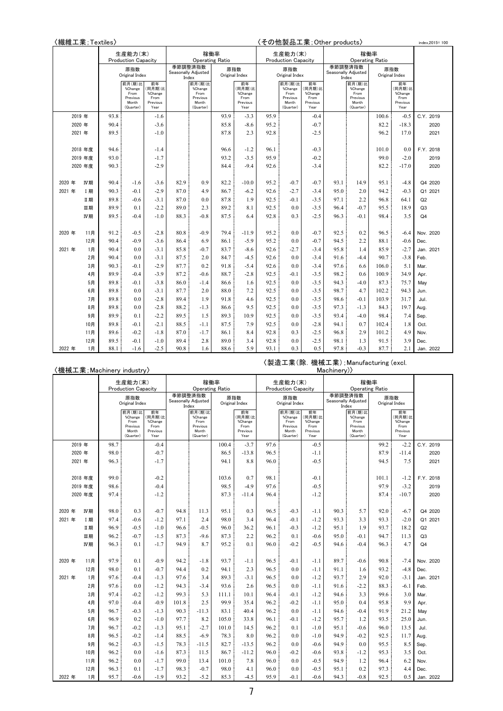| 〈繊維工業;Textiles〉 |         |                                              |                                                             |                                                     |      |                                                             |      |                                                     |      |                                                             |                                                     | 〈その他製品工業;Other products〉 |                                                             |       |                                                     | index.2015=100 |
|-----------------|---------|----------------------------------------------|-------------------------------------------------------------|-----------------------------------------------------|------|-------------------------------------------------------------|------|-----------------------------------------------------|------|-------------------------------------------------------------|-----------------------------------------------------|--------------------------|-------------------------------------------------------------|-------|-----------------------------------------------------|----------------|
|                 |         | 生産能力(末)<br><b>Production Capacity</b><br>原指数 |                                                             |                                                     |      | 稼働率                                                         |      |                                                     |      | 生産能力(末)                                                     |                                                     |                          |                                                             | 稼働率   |                                                     |                |
|                 |         |                                              |                                                             |                                                     |      | <b>Operating Ratio</b>                                      |      |                                                     |      | <b>Production Capacity</b>                                  |                                                     |                          | <b>Operating Ratio</b>                                      |       |                                                     |                |
|                 |         |                                              | Original Index                                              |                                                     |      | 季節調整済指数<br>Seasonally Adjusted<br>Index                     |      | 原指数<br>Original Index                               |      | 原指数<br>Original Index                                       |                                                     | 季節調整済指数                  | Seasonally Adjusted<br>Index                                |       | 原指数<br>Original Index                               |                |
|                 |         |                                              | 前月(期)比<br>%Change<br>From<br>Previous<br>Month<br>(Quarter) | 前年<br>(同月期)比<br>%Change<br>From<br>Previous<br>Year |      | 前月(期)比<br>%Change<br>From<br>Previous<br>Month<br>(Quarter) |      | 前年<br>(同月期)比<br>%Change<br>From<br>Previous<br>Year |      | 前月(期)比<br>%Change<br>From<br>Previous<br>Month<br>(Quarter) | 前年<br>(同月期)比<br>%Change<br>From<br>Previous<br>Year |                          | 前月(期)比<br>%Change<br>From<br>Previous<br>Month<br>(Quarter) |       | 前年<br>(同月期)比<br>%Change<br>From<br>Previous<br>Year |                |
|                 | 2019 年  | 93.8                                         |                                                             | $-1.6$                                              |      |                                                             | 93.9 | $-3.3$                                              | 95.9 |                                                             | $-0.4$                                              |                          |                                                             | 100.6 | $-0.5$                                              | C.Y. 2019      |
|                 | 2020 年  | 90.4                                         |                                                             | $-3.6$                                              |      |                                                             | 85.8 | $-8.6$                                              | 95.2 |                                                             | $-0.7$                                              |                          |                                                             | 82.2  | $-18.3$                                             | 2020           |
|                 | 2021 年  | 89.5                                         |                                                             | $-1.0$                                              |      |                                                             | 87.8 | 2.3                                                 | 92.8 |                                                             | $-2.5$                                              |                          |                                                             | 96.2  | 17.0                                                | 2021           |
|                 |         |                                              |                                                             |                                                     |      |                                                             |      |                                                     |      |                                                             |                                                     |                          |                                                             |       |                                                     |                |
|                 | 2018年度  | 94.6                                         |                                                             | $-1.4$                                              |      |                                                             | 96.6 | $-1.2$                                              | 96.1 |                                                             | $-0.3$                                              |                          |                                                             | 101.0 | 0.0                                                 | F.Y. 2018      |
|                 | 2019 年度 | 93.0                                         |                                                             | $-1.7$                                              |      |                                                             | 93.2 | $-3.5$                                              | 95.9 |                                                             | $-0.2$                                              |                          |                                                             | 99.0  | $-2.0$                                              | 2019           |
|                 | 2020 年度 | 90.3                                         |                                                             | $-2.9$                                              |      |                                                             | 84.4 | $-9.4$                                              | 92.6 |                                                             | $-3.4$                                              |                          |                                                             | 82.2  | $-17.0$                                             | 2020           |
|                 |         |                                              |                                                             |                                                     |      |                                                             |      |                                                     |      |                                                             |                                                     |                          |                                                             |       |                                                     |                |
| 2020 年          | IV期     | 90.4                                         | $-1.6$                                                      | $-3.6$                                              | 82.9 | 0.9                                                         | 82.2 | $-10.0$                                             | 95.2 | $-0.7$                                                      | $-0.7$                                              | 93.1                     | 14.9                                                        | 95.1  | $-4.8$                                              | Q4 2020        |
| 2021 年          | I期      | 90.3                                         | $-0.1$                                                      | $-2.9$                                              | 87.0 | 4.9                                                         | 86.7 | $-6.2$                                              | 92.6 | $-2.7$                                                      | $-3.4$                                              | 95.0                     | 2.0                                                         | 94.2  | $-0.3$                                              | Q1 2021        |
|                 | Ⅱ期      | 89.8                                         | $-0.6$                                                      | $-3.1$                                              | 87.0 | 0.0                                                         | 87.8 | 1.9                                                 | 92.5 | $-0.1$                                                      | $-3.5$                                              | 97.1                     | 2.2                                                         | 96.8  | 64.1                                                | Q <sub>2</sub> |
|                 | Ⅲ期      | 89.9                                         | 0.1                                                         | $-2.2$                                              | 89.0 | 2.3                                                         | 89.2 | 8.1                                                 | 92.5 | 0.0                                                         | $-3.5$                                              | 96.4                     | $-0.7$                                                      | 95.5  | 18.9                                                | Q <sub>3</sub> |
|                 | IV期     | 89.5                                         | $-0.4$                                                      | $-1.0$                                              | 88.3 | $-0.8$                                                      | 87.5 | 6.4                                                 | 92.8 | 0.3                                                         | $-2.5$                                              | 96.3                     | $-0.1$                                                      | 98.4  | 3.5                                                 | Q <sub>4</sub> |
|                 |         |                                              |                                                             |                                                     |      |                                                             |      |                                                     |      |                                                             |                                                     |                          |                                                             |       |                                                     |                |
| 2020 年          | 11月     | 91.2                                         | $-0.5$                                                      | $-2.8$                                              | 80.8 | $-0.9$                                                      | 79.4 | $-11.9$                                             | 95.2 | 0.0                                                         | $-0.7$                                              | 92.5                     | 0.2                                                         | 96.5  | $-6.4$                                              | Nov. 2020      |
|                 | 12月     | 90.4                                         | $-0.9$                                                      | $-3.6$                                              | 86.4 | 6.9                                                         | 86.1 | $-5.9$                                              | 95.2 | 0.0                                                         | $-0.7$                                              | 94.5                     | 2.2                                                         | 88.1  | $-0.6$                                              | Dec.           |
| 2021 年          | 1月      | 90.4                                         | 0.0                                                         | $-3.1$                                              | 85.8 | $-0.7$                                                      | 83.7 | $-8.6$                                              | 92.6 | $-2.7$                                                      | $-3.4$                                              | 95.8                     | 1.4                                                         | 85.9  | $-2.7$                                              | Jan. 2021      |
|                 | 2月      | 90.4                                         | 0.0                                                         | $-3.1$                                              | 87.5 | 2.0                                                         | 84.7 | $-4.5$                                              | 92.6 | 0.0                                                         | $-3.4$                                              | 91.6                     | $-4.4$                                                      | 90.7  | $-3.8$                                              | Feb.           |
|                 | 3月      | 90.3                                         | $-0.1$                                                      | $-2.9$                                              | 87.7 | 0.2                                                         | 91.8 | $-5.4$                                              | 92.6 | 0.0                                                         | $-3.4$                                              | 97.6                     | 6.6                                                         | 106.0 | 5.1                                                 | Mar.           |
|                 | 4月      | 89.9                                         | $-0.4$                                                      | $-3.9$                                              | 87.2 | $-0.6$                                                      | 88.7 | $-2.8$                                              | 92.5 | $-0.1$                                                      | $-3.5$                                              | 98.2                     | 0.6                                                         | 100.9 | 34.9                                                | Apr.           |
|                 | 5月      | 89.8                                         | $-0.1$                                                      | $-3.8$                                              | 86.0 | $-1.4$                                                      | 86.6 | 1.6                                                 | 92.5 | 0.0                                                         | $-3.5$                                              | 94.3                     | $-4.0$                                                      | 87.3  | 75.7                                                | May            |
|                 | 6月      | 89.8                                         | 0.0                                                         | $-3.1$                                              | 87.7 | 2.0                                                         | 88.0 | 7.2                                                 | 92.5 | 0.0                                                         | $-3.5$                                              | 98.7                     | 4.7                                                         | 102.2 | 94.3                                                | Jun.           |
|                 | 7月      | 89.8                                         | 0.0                                                         | $-2.8$                                              | 89.4 | 1.9                                                         | 91.8 | 4.6                                                 | 92.5 | 0.0                                                         | $-3.5$                                              | 98.6                     | $-0.1$                                                      | 103.9 | 31.7                                                | Jul.           |
|                 | 8月      | 89.8                                         | 0.0                                                         | $-2.8$                                              | 88.2 | $-1.3$                                                      | 86.6 | 9.5                                                 | 92.5 | 0.0                                                         | $-3.5$                                              | 97.3                     | $-1.3$                                                      | 84.3  | 19.7                                                | Aug.           |
|                 | 9月      | 89.9                                         | 0.1                                                         | $-2.2$                                              | 89.5 | 1.5                                                         | 89.3 | 10.9                                                | 92.5 | 0.0                                                         | $-3.5$                                              | 93.4                     | $-4.0$                                                      | 98.4  | 7.4                                                 | Sep.           |
|                 | 10月     | 89.8                                         | $-0.1$                                                      | $-2.1$                                              | 88.5 | $-1.1$                                                      | 87.5 | 7.9                                                 | 92.5 | 0.0                                                         | $-2.8$                                              | 94.1                     | 0.7                                                         | 102.4 | 1.8                                                 | Oct.           |
|                 | 11月     | 89.6                                         | $-0.2$                                                      | $-1.8$                                              | 87.0 | $-1.7$                                                      | 86.1 | 8.4                                                 | 92.8 | 0.3                                                         | $-2.5$                                              | 96.8                     | 2.9                                                         | 101.2 | 4.9                                                 | Nov.           |
|                 | 12月     | 89.5                                         | $-0.1$                                                      | $-1.0$                                              | 89.4 | 2.8                                                         | 89.0 | 3.4                                                 | 92.8 | 0.0                                                         | $-2.5$                                              | 98.1                     | 1.3                                                         | 91.5  | 3.9                                                 | Dec.           |
| 2022 年          | 1月      | 88.1                                         | $-1.6$                                                      | $-2.5$                                              | 90.8 | 1.6                                                         | 88.6 | 5.9                                                 | 93.1 | 0.3                                                         | 0.5                                                 | 97.8                     | $-0.3$                                                      | 87.7  | 2.1                                                 | Jan. 2022      |

#### 〈機械工業;Machinery industry〉

〈製造工業(除.機械工業);Manufacturing (excl. Machinery)〉

| $\sim$ $\sim$ $\sim$ |         |                            |                                       |                         |                        |                   |                |                  |                            |                   |                                |                        |                   |       |                  |                |
|----------------------|---------|----------------------------|---------------------------------------|-------------------------|------------------------|-------------------|----------------|------------------|----------------------------|-------------------|--------------------------------|------------------------|-------------------|-------|------------------|----------------|
|                      |         | 生産能力(末)                    |                                       |                         | 稼働率                    |                   |                |                  | 生産能力(末)                    |                   |                                |                        | 稼働率               |       |                  |                |
|                      |         | <b>Production Capacity</b> |                                       |                         | <b>Operating Ratio</b> |                   |                |                  | <b>Production Capacity</b> |                   |                                | <b>Operating Ratio</b> |                   |       |                  |                |
|                      | 原指数     |                            | 季節調整済指数<br>原指数<br>Seasonally Adjusted |                         |                        |                   | 原指数            |                  |                            |                   | 季節調整済指数<br>Seasonally Adjusted | 原指数                    |                   |       |                  |                |
|                      |         | Original Index             |                                       | Original Index<br>Index |                        |                   | Original Index |                  |                            | Index             |                                | Original Index         |                   |       |                  |                |
|                      |         |                            | 前月(期)比<br>%Change                     | 前年<br>(同月期)比            |                        | 前月(期)比<br>%Change |                | 前年<br>(同月期)比     |                            | 前月(期)比<br>%Change | 前年<br>(同月期)比                   |                        | 前月(期)比<br>%Change |       | 前年<br>(同月期)比     |                |
|                      |         |                            | From                                  | %Change                 |                        | From              |                | %Change          |                            | From              | %Change                        |                        | From              |       | %Change          |                |
|                      |         |                            | Previous<br>Month                     | From<br>Previous        |                        | Previous<br>Month |                | From<br>Previous |                            | Previous<br>Month | From<br>Previous               |                        | Previous<br>Month |       | From<br>Previous |                |
|                      |         |                            | (Quarter)                             | Year                    |                        | (Quarter)         |                | Year             |                            | (Quarter)         | Year                           |                        | (Quarter)         |       | Year             |                |
|                      | 2019 年  | 98.7                       |                                       | $-0.4$                  |                        |                   | 100.4          | $-3.7$           | 97.6                       |                   | $-0.5$                         |                        |                   | 99.2  | $-2.2$           | C.Y. 2019      |
|                      | 2020 年  | 98.0                       |                                       | $-0.7$                  |                        |                   | 86.5           | $-13.8$          | 96.5                       |                   | $-1.1$                         |                        |                   | 87.9  | $-11.4$          | 2020           |
|                      | 2021 年  | 96.3                       |                                       | $-1.7$                  |                        |                   | 94.1           | 8.8              | 96.0                       |                   | $-0.5$                         |                        |                   | 94.5  | 7.5              | 2021           |
|                      |         |                            |                                       |                         |                        |                   |                |                  |                            |                   |                                |                        |                   |       |                  |                |
|                      | 2018年度  | 99.0                       |                                       | $-0.2$                  |                        |                   | 103.6          | 0.7              | 98.1                       |                   | $-0.1$                         |                        |                   | 101.1 | $-1.2$           | F.Y. 2018      |
|                      | 2019 年度 | 98.6                       |                                       | $-0.4$                  |                        |                   | 98.5           | $-4.9$           | 97.6                       |                   | $-0.5$                         |                        |                   | 97.9  | $-3.2$           | 2019           |
|                      | 2020 年度 | 97.4                       |                                       | $-1.2$                  |                        |                   | 87.3           | $-11.4$          | 96.4                       |                   | $-1.2$                         |                        |                   | 87.4  | $-10.7$          | 2020           |
|                      |         |                            |                                       |                         |                        |                   |                |                  |                            |                   |                                |                        |                   |       |                  |                |
| 2020 年               | IV期     | 98.0                       | 0.3                                   | $-0.7$                  | 94.8                   | 11.3              | 95.1           | 0.3              | 96.5                       | $-0.3$            | -1.1                           | 90.3                   | 5.7               | 92.0  | $-6.7$           | Q4 2020        |
| 2021 年               | I期      | 97.4                       | $-0.6$                                | $-1.2$                  | 97.1                   | 2.4               | 98.0           | 3.4              | 96.4                       | $-0.1$            | $-1.2$                         | 93.3                   | 3.3               | 93.3  | $-2.0$           | Q1 2021        |
|                      | Ⅱ期      | 96.9                       | $-0.5$                                | $-1.0$                  | 96.6                   | $-0.5$            | 96.0           | 36.2             | 96.1                       | $-0.3$            | -1.2                           | 95.1                   | 1.9               | 93.7  | 18.2             | Q2             |
|                      | 皿期      | 96.2                       | $-0.7$                                | $-1.5$                  | 87.3                   | $-9.6$            | 87.3           | 2.2              | 96.2                       | 0.1               | -0.6                           | 95.0                   | $-0.1$            | 94.7  | 11.3             | Q3             |
|                      | IV期     | 96.3                       | 0.1                                   | $-1.7$                  | 94.9                   | 8.7               | 95.2           | 0.1              | 96.0                       | $-0.2$            | $-0.5$                         | 94.6                   | $-0.4$            | 96.3  | 4.7              | Q <sub>4</sub> |
|                      |         |                            |                                       |                         |                        |                   |                |                  |                            |                   |                                |                        |                   |       |                  |                |
| 2020 年               | 11月     | 97.9                       | 0.1                                   | $-0.9$                  | 94.2                   | $-1.8$            | 93.7           | $-1.1$           | 96.5                       | $-0.1$            | $-1.1$                         | 89.7                   | $-0.6$            | 90.8  | $-7.4$           | Nov. 2020      |
|                      | 12月     | 98.0                       | 0.1                                   | $-0.7$                  | 94.4                   | 0.2               | 94.1           | 2.3              | 96.5                       | 0.0               | -1.1                           | 91.1                   | 1.6               | 93.2  | $-4.8$           | Dec.           |
| 2021 年               | 1月      | 97.6                       | $-0.4$                                | $-1.3$                  | 97.6                   | 3.4               | 89.3           | $-3.1$           | 96.5                       | 0.0               | -1.2                           | 93.7                   | 2.9               | 92.0  | $-3.1$           | Jan. 2021      |
|                      | 2月      | 97.6                       | 0.0                                   | $-1.2$                  | 94.3                   | $-3.4$            | 93.6           | 2.6              | 96.5                       | 0.0               | -1.1                           | 91.6                   | $-2.2$            | 88.3  | -6.1             | Feb.           |
|                      | 3月      | 97.4                       | $-0.2$                                | $-1.2$                  | 99.3                   | 5.3               | 111.1          | 10.1             | 96.4                       | $-0.1$            | $-1.2$                         | 94.6                   | 3.3               | 99.6  | 3.0              | Mar.           |
|                      | 4月      | 97.0                       | $-0.4$                                | $-0.9$                  | 101.8                  | 2.5               | 99.9           | 35.4             | 96.2                       | $-0.2$            | -1.1                           | 95.0                   | 0.4               | 95.8  | 9.9              | Apr.           |
|                      | 5月      | 96.7                       | $-0.3$                                | $-1.3$                  | 90.3                   | $-11.3$           | 83.1           | 40.4             | 96.2                       | 0.0               | $-1.1$                         | 94.6                   | $-0.4$            | 91.9  | 21.2             | May            |
|                      | 6月      | 96.9                       | 0.2                                   | $-1.0$                  | 97.7                   | 8.2               | 105.0          | 33.8             | 96.1                       | $-0.1$            | -1.2                           | 95.7                   | 1.2               | 93.5  | 25.0             | Jun.           |
|                      | 7月      | 96.7                       | $-0.2$                                | $-1.3$                  | 95.1                   | $-2.7$            | 101.0          | 14.5             | 96.2                       | 0.1               | $-1.0$                         | 95.1                   | $-0.6$            | 96.0  | 13.5             | Jul.           |
|                      | 8月      | 96.5                       | $-0.2$                                | $-1.4$                  | 88.5                   | $-6.9$            | 78.3           | 8.0              | 96.2                       | 0.0               | $-1.0$                         | 94.9                   | $-0.2$            | 92.5  | 11.7             | Aug.           |
|                      | 9月      | 96.2                       | $-0.3$                                | $-1.5$                  | 78.3                   | $-11.5$           | 82.7           | $-13.5$          | 96.2                       | 0.0               | $-0.6$                         | 94.9                   | 0.0               | 95.5  | 8.5              | Sep.           |
|                      | 10月     | 96.2                       | 0.0                                   | $-1.6$                  | 87.3                   | 11.5              | 86.7           | $-11.2$          | 96.0                       | $-0.2$            | $-0.6$                         | 93.8                   | $-1.2$            | 95.3  | 3.5              | Oct.           |
|                      | 11月     | 96.2                       | 0.0                                   | $-1.7$                  | 99.0                   | 13.4              | 101.0          | 7.8              | 96.0                       | 0.0               | $-0.5$                         | 94.9                   | 1.2               | 96.4  | 6.2              | Nov.           |
|                      | 12月     | 96.3                       | 0.1                                   | $-1.7$                  | 98.3                   | $-0.7$            | 98.0           | 4.1              | 96.0                       | 0.0               | $-0.5$                         | 95.1                   | 0.2               | 97.3  | 4.4              | Dec.           |
| 2022 年               | 1月      | 95.7                       | $-0.6$                                | $-1.9$                  | 93.2                   | $-5.2$            | 85.3           | $-4.5$           | 95.9                       | $-0.1$            | $-0.6$                         | 94.3                   | $-0.8$            | 92.5  | 0.5              | Jan. 2022      |
|                      |         |                            |                                       |                         |                        |                   |                |                  |                            |                   |                                |                        |                   |       |                  |                |